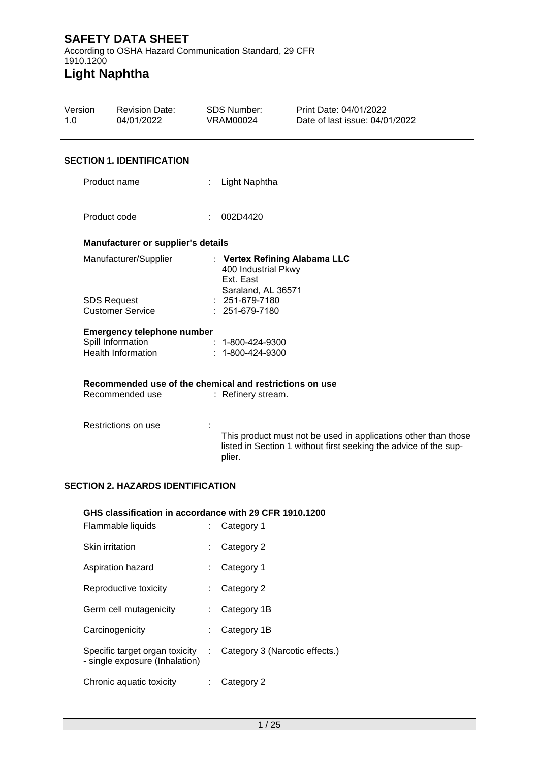According to OSHA Hazard Communication Standard, 29 CFR 1910.1200 **Light Naphtha**

## Version 1.0 Revision Date: 04/01/2022 SDS Number: VRAM00024 Print Date: 04/01/2022 Date of last issue: 04/01/2022 **SECTION 1. IDENTIFICATION** Product name : Light Naphtha Product code : 002D4420 **Manufacturer or supplier's details** Manufacturer/Supplier : **Vertex Refining Alabama LLC** 400 Industrial Pkwy Ext. East Saraland, AL 36571 SDS Request Customer Service : 251-679-7180 : 251-679-7180 **Emergency telephone number** Spill Information Health Information : 1-800-424-9300 : 1-800-424-9300 **Recommended use of the chemical and restrictions on use** : Refinery stream. Restrictions on use : This product must not be used in applications other than those listed in Section 1 without first seeking the advice of the supplier.

## **SECTION 2. HAZARDS IDENTIFICATION**

## **GHS classification in accordance with 29 CFR 1910.1200**

| Flammable liquids                                                |    | Category 1                     |
|------------------------------------------------------------------|----|--------------------------------|
| <b>Skin irritation</b>                                           | t. | Category 2                     |
| Aspiration hazard                                                |    | Category 1                     |
| Reproductive toxicity                                            | t. | Category 2                     |
| Germ cell mutagenicity                                           |    | Category 1B                    |
| Carcinogenicity                                                  |    | Category 1B                    |
| Specific target organ toxicity<br>- single exposure (Inhalation) | ÷. | Category 3 (Narcotic effects.) |
| Chronic aquatic toxicity                                         |    | Category 2                     |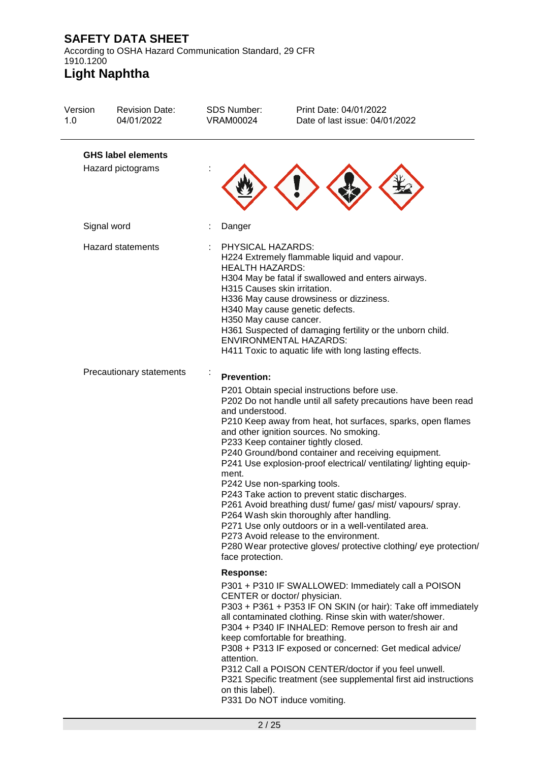According to OSHA Hazard Communication Standard, 29 CFR 1910.1200

| Version<br>1.0 | <b>Revision Date:</b><br>04/01/2022            | <b>SDS Number:</b><br><b>VRAM00024</b>                                                                | Print Date: 04/01/2022<br>Date of last issue: 04/01/2022                                                                                                                                                                                                                                                                                                                                                                                                                                                                                                                                                                                                                                                                                                       |
|----------------|------------------------------------------------|-------------------------------------------------------------------------------------------------------|----------------------------------------------------------------------------------------------------------------------------------------------------------------------------------------------------------------------------------------------------------------------------------------------------------------------------------------------------------------------------------------------------------------------------------------------------------------------------------------------------------------------------------------------------------------------------------------------------------------------------------------------------------------------------------------------------------------------------------------------------------------|
|                | <b>GHS label elements</b><br>Hazard pictograms |                                                                                                       |                                                                                                                                                                                                                                                                                                                                                                                                                                                                                                                                                                                                                                                                                                                                                                |
|                | Signal word                                    | Danger                                                                                                |                                                                                                                                                                                                                                                                                                                                                                                                                                                                                                                                                                                                                                                                                                                                                                |
|                | <b>Hazard statements</b>                       | PHYSICAL HAZARDS:<br><b>HEALTH HAZARDS:</b><br>H315 Causes skin irritation.<br>H350 May cause cancer. | H224 Extremely flammable liquid and vapour.<br>H304 May be fatal if swallowed and enters airways.<br>H336 May cause drowsiness or dizziness.<br>H340 May cause genetic defects.<br>H361 Suspected of damaging fertility or the unborn child.<br><b>ENVIRONMENTAL HAZARDS:</b><br>H411 Toxic to aquatic life with long lasting effects.                                                                                                                                                                                                                                                                                                                                                                                                                         |
|                | Precautionary statements                       | <b>Prevention:</b><br>and understood.<br>ment.<br>face protection.                                    | P201 Obtain special instructions before use.<br>P202 Do not handle until all safety precautions have been read<br>P210 Keep away from heat, hot surfaces, sparks, open flames<br>and other ignition sources. No smoking.<br>P233 Keep container tightly closed.<br>P240 Ground/bond container and receiving equipment.<br>P241 Use explosion-proof electrical/ventilating/lighting equip-<br>P242 Use non-sparking tools.<br>P243 Take action to prevent static discharges.<br>P261 Avoid breathing dust/ fume/ gas/ mist/ vapours/ spray.<br>P264 Wash skin thoroughly after handling.<br>P271 Use only outdoors or in a well-ventilated area.<br>P273 Avoid release to the environment.<br>P280 Wear protective gloves/ protective clothing/ eye protection/ |
|                |                                                | <b>Response:</b><br>attention.<br>on this label).                                                     | P301 + P310 IF SWALLOWED: Immediately call a POISON<br>CENTER or doctor/ physician.<br>P303 + P361 + P353 IF ON SKIN (or hair): Take off immediately<br>all contaminated clothing. Rinse skin with water/shower.<br>P304 + P340 IF INHALED: Remove person to fresh air and<br>keep comfortable for breathing.<br>P308 + P313 IF exposed or concerned: Get medical advice/<br>P312 Call a POISON CENTER/doctor if you feel unwell.<br>P321 Specific treatment (see supplemental first aid instructions<br>P331 Do NOT induce vomiting.                                                                                                                                                                                                                          |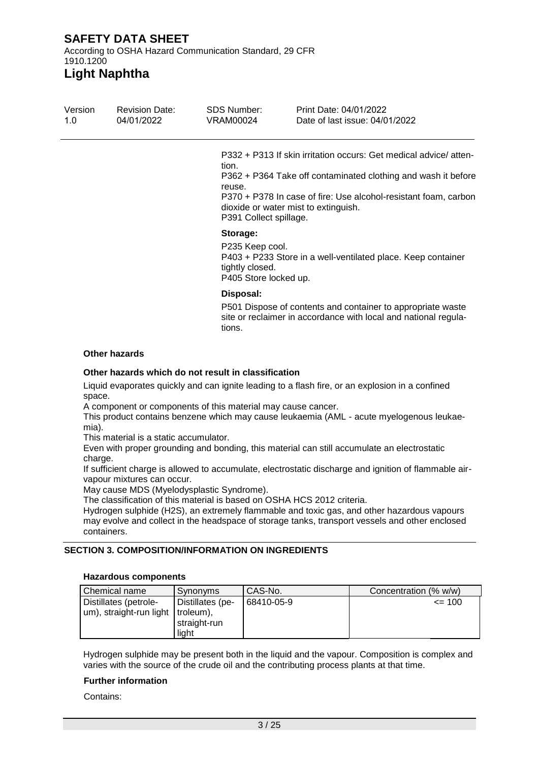According to OSHA Hazard Communication Standard, 29 CFR 1910.1200

**Light Naphtha**

| Version<br>1.0 | <b>Revision Date:</b><br>04/01/2022 | SDS Number:<br>VRAM00024                                                | Print Date: 04/01/2022<br>Date of last issue: 04/01/2022                                                                                                                                                                                     |
|----------------|-------------------------------------|-------------------------------------------------------------------------|----------------------------------------------------------------------------------------------------------------------------------------------------------------------------------------------------------------------------------------------|
|                |                                     | tion.<br>reuse.<br>P391 Collect spillage.                               | P332 + P313 If skin irritation occurs: Get medical advice/atten-<br>P362 + P364 Take off contaminated clothing and wash it before<br>P370 + P378 In case of fire: Use alcohol-resistant foam, carbon<br>dioxide or water mist to extinguish. |
|                |                                     | Storage:<br>P235 Keep cool.<br>tightly closed.<br>P405 Store locked up. | P403 + P233 Store in a well-ventilated place. Keep container                                                                                                                                                                                 |
|                |                                     | Disposal:<br>tions.                                                     | P501 Dispose of contents and container to appropriate waste<br>site or reclaimer in accordance with local and national regula-                                                                                                               |

#### **Other hazards**

#### **Other hazards which do not result in classification**

Liquid evaporates quickly and can ignite leading to a flash fire, or an explosion in a confined space.

A component or components of this material may cause cancer.

This product contains benzene which may cause leukaemia (AML - acute myelogenous leukaemia).

This material is a static accumulator.

Even with proper grounding and bonding, this material can still accumulate an electrostatic charge.

If sufficient charge is allowed to accumulate, electrostatic discharge and ignition of flammable airvapour mixtures can occur.

May cause MDS (Myelodysplastic Syndrome).

The classification of this material is based on OSHA HCS 2012 criteria.

Hydrogen sulphide (H2S), an extremely flammable and toxic gas, and other hazardous vapours may evolve and collect in the headspace of storage tanks, transport vessels and other enclosed containers.

### **SECTION 3. COMPOSITION/INFORMATION ON INGREDIENTS**

#### **Hazardous components**

| Chemical name                                                | Synonyms                                  | CAS-No.    | Concentration (% w/w) |
|--------------------------------------------------------------|-------------------------------------------|------------|-----------------------|
| Distillates (petrole-<br>um), straight-run light   troleum), | Distillates (pe-<br>straight-run<br>liaht | 68410-05-9 | $\leq$ 100            |

Hydrogen sulphide may be present both in the liquid and the vapour. Composition is complex and varies with the source of the crude oil and the contributing process plants at that time.

#### **Further information**

Contains: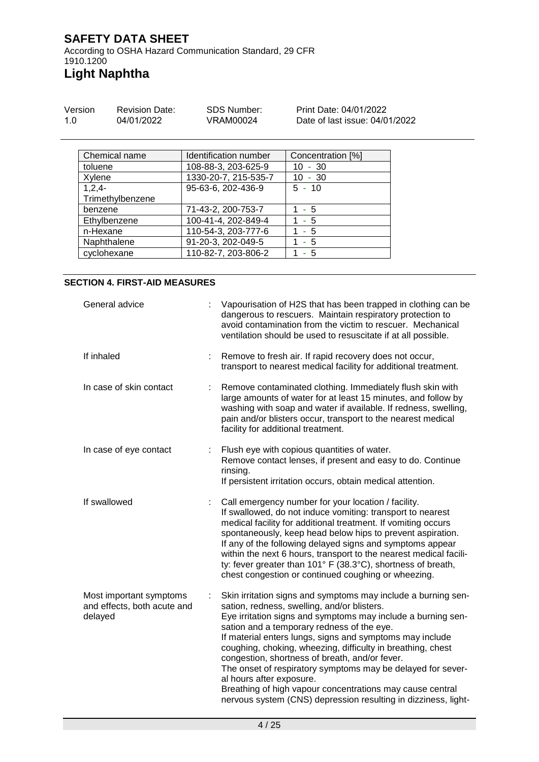According to OSHA Hazard Communication Standard, 29 CFR 1910.1200 **Light Naphtha**

| Version | <b>Revision Date:</b> | SDS Number: | Print Date: 04/01/2022         |
|---------|-----------------------|-------------|--------------------------------|
| 1.0     | 04/01/2022            | VRAM00024   | Date of last issue: 04/01/2022 |

| Chemical name    | Identification number | Concentration [%] |
|------------------|-----------------------|-------------------|
| toluene          | 108-88-3, 203-625-9   | $10 - 30$         |
| Xylene           | 1330-20-7, 215-535-7  | $10 - 30$         |
| $1,2,4-$         | 95-63-6, 202-436-9    | $5 - 10$          |
| Trimethylbenzene |                       |                   |
| benzene          | 71-43-2, 200-753-7    | $1 - 5$           |
| Ethylbenzene     | 100-41-4, 202-849-4   | 1 - 5             |
| n-Hexane         | 110-54-3, 203-777-6   | 1 - 5             |
| Naphthalene      | 91-20-3, 202-049-5    | - 5               |
| cyclohexane      | 110-82-7, 203-806-2   | - 5               |

### **SECTION 4. FIRST-AID MEASURES**

| General advice                                                         | Vapourisation of H2S that has been trapped in clothing can be<br>dangerous to rescuers. Maintain respiratory protection to<br>avoid contamination from the victim to rescuer. Mechanical<br>ventilation should be used to resuscitate if at all possible.                                                                                                                                                                                                                                                                                                                                                                         |
|------------------------------------------------------------------------|-----------------------------------------------------------------------------------------------------------------------------------------------------------------------------------------------------------------------------------------------------------------------------------------------------------------------------------------------------------------------------------------------------------------------------------------------------------------------------------------------------------------------------------------------------------------------------------------------------------------------------------|
| If inhaled<br>÷                                                        | Remove to fresh air. If rapid recovery does not occur,<br>transport to nearest medical facility for additional treatment.                                                                                                                                                                                                                                                                                                                                                                                                                                                                                                         |
| In case of skin contact<br>÷                                           | Remove contaminated clothing. Immediately flush skin with<br>large amounts of water for at least 15 minutes, and follow by<br>washing with soap and water if available. If redness, swelling,<br>pain and/or blisters occur, transport to the nearest medical<br>facility for additional treatment.                                                                                                                                                                                                                                                                                                                               |
| In case of eye contact                                                 | Flush eye with copious quantities of water.<br>Remove contact lenses, if present and easy to do. Continue<br>rinsing.<br>If persistent irritation occurs, obtain medical attention.                                                                                                                                                                                                                                                                                                                                                                                                                                               |
| If swallowed                                                           | Call emergency number for your location / facility.<br>If swallowed, do not induce vomiting: transport to nearest<br>medical facility for additional treatment. If vomiting occurs<br>spontaneously, keep head below hips to prevent aspiration.<br>If any of the following delayed signs and symptoms appear<br>within the next 6 hours, transport to the nearest medical facili-<br>ty: fever greater than 101° F (38.3°C), shortness of breath,<br>chest congestion or continued coughing or wheezing.                                                                                                                         |
| Most important symptoms<br>÷<br>and effects, both acute and<br>delayed | Skin irritation signs and symptoms may include a burning sen-<br>sation, redness, swelling, and/or blisters.<br>Eye irritation signs and symptoms may include a burning sen-<br>sation and a temporary redness of the eye.<br>If material enters lungs, signs and symptoms may include<br>coughing, choking, wheezing, difficulty in breathing, chest<br>congestion, shortness of breath, and/or fever.<br>The onset of respiratory symptoms may be delayed for sever-<br>al hours after exposure.<br>Breathing of high vapour concentrations may cause central<br>nervous system (CNS) depression resulting in dizziness, light- |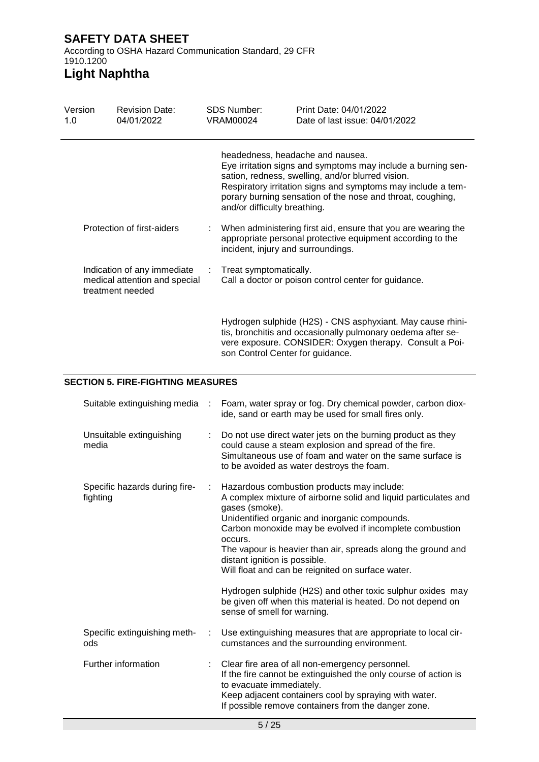# **Light Naphtha**

| Version<br>1.0 | <b>Revision Date:</b><br>04/01/2022                                              | SDS Number:<br>VRAM00024           | Print Date: 04/01/2022<br>Date of last issue: 04/01/2022                                                                                                                                                                                                                            |
|----------------|----------------------------------------------------------------------------------|------------------------------------|-------------------------------------------------------------------------------------------------------------------------------------------------------------------------------------------------------------------------------------------------------------------------------------|
|                |                                                                                  | and/or difficulty breathing.       | headedness, headache and nausea.<br>Eye irritation signs and symptoms may include a burning sen-<br>sation, redness, swelling, and/or blurred vision.<br>Respiratory irritation signs and symptoms may include a tem-<br>porary burning sensation of the nose and throat, coughing, |
|                | Protection of first-aiders                                                       | incident, injury and surroundings. | When administering first aid, ensure that you are wearing the<br>appropriate personal protective equipment according to the                                                                                                                                                         |
|                | Indication of any immediate<br>medical attention and special<br>treatment needed | Treat symptomatically.             | Call a doctor or poison control center for guidance.                                                                                                                                                                                                                                |
|                |                                                                                  | son Control Center for guidance.   | Hydrogen sulphide (H2S) - CNS asphyxiant. May cause rhini-<br>tis, bronchitis and occasionally pulmonary oedema after se-<br>vere exposure. CONSIDER: Oxygen therapy. Consult a Poi-                                                                                                |

## **SECTION 5. FIRE-FIGHTING MEASURES**

| Suitable extinguishing media              | $\sim$ 10 $\sim$ | Foam, water spray or fog. Dry chemical powder, carbon diox-<br>ide, sand or earth may be used for small fires only.                                                                                                                                                                                                                                                                                                                                                                                                                                                      |
|-------------------------------------------|------------------|--------------------------------------------------------------------------------------------------------------------------------------------------------------------------------------------------------------------------------------------------------------------------------------------------------------------------------------------------------------------------------------------------------------------------------------------------------------------------------------------------------------------------------------------------------------------------|
| Unsuitable extinguishing<br>media         |                  | Do not use direct water jets on the burning product as they<br>could cause a steam explosion and spread of the fire.<br>Simultaneous use of foam and water on the same surface is<br>to be avoided as water destroys the foam.                                                                                                                                                                                                                                                                                                                                           |
| Specific hazards during fire-<br>fighting | ÷.               | Hazardous combustion products may include:<br>A complex mixture of airborne solid and liquid particulates and<br>gases (smoke).<br>Unidentified organic and inorganic compounds.<br>Carbon monoxide may be evolved if incomplete combustion<br>occurs.<br>The vapour is heavier than air, spreads along the ground and<br>distant ignition is possible.<br>Will float and can be reignited on surface water.<br>Hydrogen sulphide (H2S) and other toxic sulphur oxides may<br>be given off when this material is heated. Do not depend on<br>sense of smell for warning. |
| Specific extinguishing meth-<br>ods       | ÷                | Use extinguishing measures that are appropriate to local cir-<br>cumstances and the surrounding environment.                                                                                                                                                                                                                                                                                                                                                                                                                                                             |
| Further information                       |                  | Clear fire area of all non-emergency personnel.<br>If the fire cannot be extinguished the only course of action is<br>to evacuate immediately.<br>Keep adjacent containers cool by spraying with water.<br>If possible remove containers from the danger zone.                                                                                                                                                                                                                                                                                                           |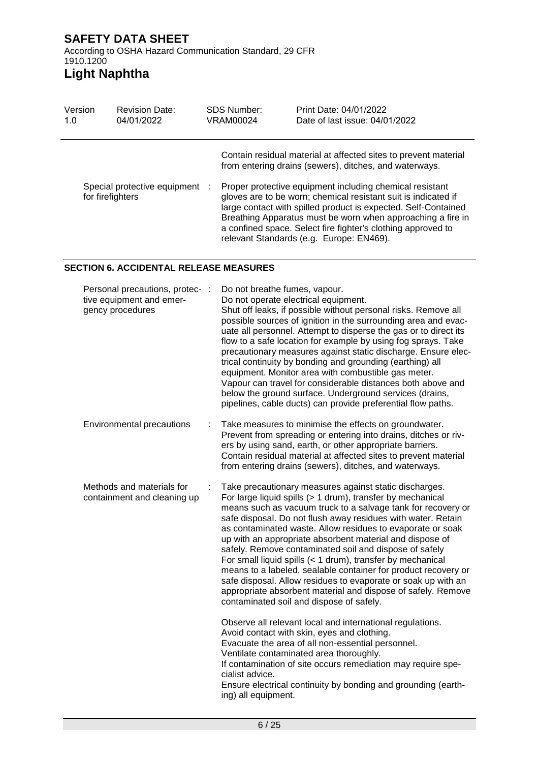# **Light Naphtha**

| Version          | <b>Revision Date:</b>          | SDS Number: |  | Print Date: 04/01/2022                                                                                                                                                                                                                                                                                                                                                                                                                                                                               |
|------------------|--------------------------------|-------------|--|------------------------------------------------------------------------------------------------------------------------------------------------------------------------------------------------------------------------------------------------------------------------------------------------------------------------------------------------------------------------------------------------------------------------------------------------------------------------------------------------------|
| 1.0              | 04/01/2022                     | VRAM00024   |  | Date of last issue: 04/01/2022                                                                                                                                                                                                                                                                                                                                                                                                                                                                       |
| for firefighters | Special protective equipment : |             |  | Contain residual material at affected sites to prevent material<br>from entering drains (sewers), ditches, and waterways.<br>Proper protective equipment including chemical resistant<br>gloves are to be worn; chemical resistant suit is indicated if<br>large contact with spilled product is expected. Self-Contained<br>Breathing Apparatus must be worn when approaching a fire in<br>a confined space. Select fire fighter's clothing approved to<br>relevant Standards (e.g. Europe: EN469). |

### **SECTION 6. ACCIDENTAL RELEASE MEASURES**

| Personal precautions, protec-<br>$\cdot$ :<br>tive equipment and emer-<br>gency procedures | Do not breathe fumes, vapour.<br>Do not operate electrical equipment.<br>Shut off leaks, if possible without personal risks. Remove all<br>possible sources of ignition in the surrounding area and evac-<br>uate all personnel. Attempt to disperse the gas or to direct its<br>flow to a safe location for example by using fog sprays. Take<br>precautionary measures against static discharge. Ensure elec-<br>trical continuity by bonding and grounding (earthing) all<br>equipment. Monitor area with combustible gas meter.<br>Vapour can travel for considerable distances both above and<br>below the ground surface. Underground services (drains,<br>pipelines, cable ducts) can provide preferential flow paths.                         |
|--------------------------------------------------------------------------------------------|-------------------------------------------------------------------------------------------------------------------------------------------------------------------------------------------------------------------------------------------------------------------------------------------------------------------------------------------------------------------------------------------------------------------------------------------------------------------------------------------------------------------------------------------------------------------------------------------------------------------------------------------------------------------------------------------------------------------------------------------------------|
| Environmental precautions<br>÷                                                             | Take measures to minimise the effects on groundwater.<br>Prevent from spreading or entering into drains, ditches or riv-<br>ers by using sand, earth, or other appropriate barriers.<br>Contain residual material at affected sites to prevent material<br>from entering drains (sewers), ditches, and waterways.                                                                                                                                                                                                                                                                                                                                                                                                                                     |
| Methods and materials for<br>containment and cleaning up                                   | Take precautionary measures against static discharges.<br>For large liquid spills (> 1 drum), transfer by mechanical<br>means such as vacuum truck to a salvage tank for recovery or<br>safe disposal. Do not flush away residues with water. Retain<br>as contaminated waste. Allow residues to evaporate or soak<br>up with an appropriate absorbent material and dispose of<br>safely. Remove contaminated soil and dispose of safely<br>For small liquid spills (< 1 drum), transfer by mechanical<br>means to a labeled, sealable container for product recovery or<br>safe disposal. Allow residues to evaporate or soak up with an<br>appropriate absorbent material and dispose of safely. Remove<br>contaminated soil and dispose of safely. |
|                                                                                            | Observe all relevant local and international regulations.<br>Avoid contact with skin, eyes and clothing.<br>Evacuate the area of all non-essential personnel.<br>Ventilate contaminated area thoroughly.<br>If contamination of site occurs remediation may require spe-<br>cialist advice.<br>Ensure electrical continuity by bonding and grounding (earth-<br>ing) all equipment.                                                                                                                                                                                                                                                                                                                                                                   |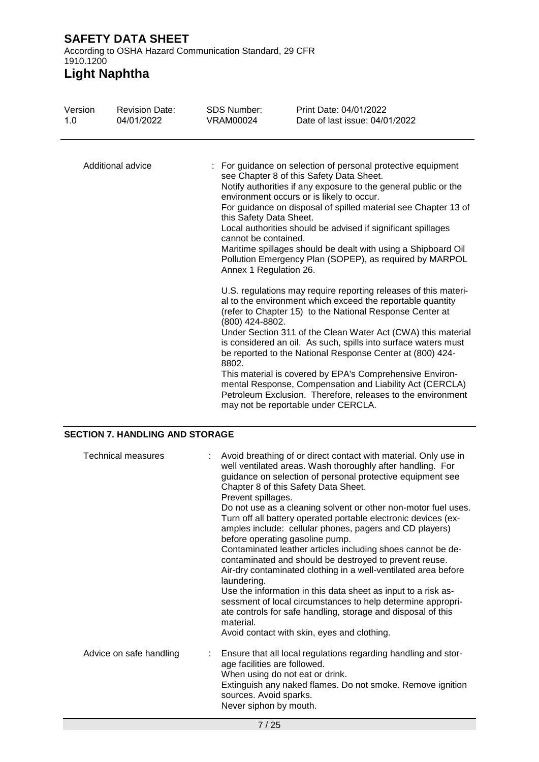# **Light Naphtha**

| Version<br>1.0    | <b>Revision Date:</b><br>04/01/2022 | <b>SDS Number:</b><br><b>VRAM00024</b>                                    | Print Date: 04/01/2022<br>Date of last issue: 04/01/2022                                                                                                                                                                                                                                                                                                                                                                                                                                                                                                                                                               |
|-------------------|-------------------------------------|---------------------------------------------------------------------------|------------------------------------------------------------------------------------------------------------------------------------------------------------------------------------------------------------------------------------------------------------------------------------------------------------------------------------------------------------------------------------------------------------------------------------------------------------------------------------------------------------------------------------------------------------------------------------------------------------------------|
| Additional advice |                                     | this Safety Data Sheet.<br>cannot be contained.<br>Annex 1 Regulation 26. | : For guidance on selection of personal protective equipment<br>see Chapter 8 of this Safety Data Sheet.<br>Notify authorities if any exposure to the general public or the<br>environment occurs or is likely to occur.<br>For guidance on disposal of spilled material see Chapter 13 of<br>Local authorities should be advised if significant spillages<br>Maritime spillages should be dealt with using a Shipboard Oil<br>Pollution Emergency Plan (SOPEP), as required by MARPOL                                                                                                                                 |
|                   |                                     | (800) 424-8802.<br>8802.                                                  | U.S. regulations may require reporting releases of this materi-<br>al to the environment which exceed the reportable quantity<br>(refer to Chapter 15) to the National Response Center at<br>Under Section 311 of the Clean Water Act (CWA) this material<br>is considered an oil. As such, spills into surface waters must<br>be reported to the National Response Center at (800) 424-<br>This material is covered by EPA's Comprehensive Environ-<br>mental Response, Compensation and Liability Act (CERCLA)<br>Petroleum Exclusion. Therefore, releases to the environment<br>may not be reportable under CERCLA. |

## **SECTION 7. HANDLING AND STORAGE**

| Technical measures      | : Avoid breathing of or direct contact with material. Only use in<br>well ventilated areas. Wash thoroughly after handling. For<br>guidance on selection of personal protective equipment see<br>Chapter 8 of this Safety Data Sheet.<br>Prevent spillages.<br>Do not use as a cleaning solvent or other non-motor fuel uses.<br>Turn off all battery operated portable electronic devices (ex-<br>amples include: cellular phones, pagers and CD players)<br>before operating gasoline pump.<br>Contaminated leather articles including shoes cannot be de-<br>contaminated and should be destroyed to prevent reuse.<br>Air-dry contaminated clothing in a well-ventilated area before<br>laundering.<br>Use the information in this data sheet as input to a risk as-<br>sessment of local circumstances to help determine appropri-<br>ate controls for safe handling, storage and disposal of this<br>material.<br>Avoid contact with skin, eyes and clothing. |
|-------------------------|---------------------------------------------------------------------------------------------------------------------------------------------------------------------------------------------------------------------------------------------------------------------------------------------------------------------------------------------------------------------------------------------------------------------------------------------------------------------------------------------------------------------------------------------------------------------------------------------------------------------------------------------------------------------------------------------------------------------------------------------------------------------------------------------------------------------------------------------------------------------------------------------------------------------------------------------------------------------|
| Advice on safe handling | : Ensure that all local regulations regarding handling and stor-<br>age facilities are followed.<br>When using do not eat or drink.<br>Extinguish any naked flames. Do not smoke. Remove ignition<br>sources. Avoid sparks.<br>Never siphon by mouth.                                                                                                                                                                                                                                                                                                                                                                                                                                                                                                                                                                                                                                                                                                               |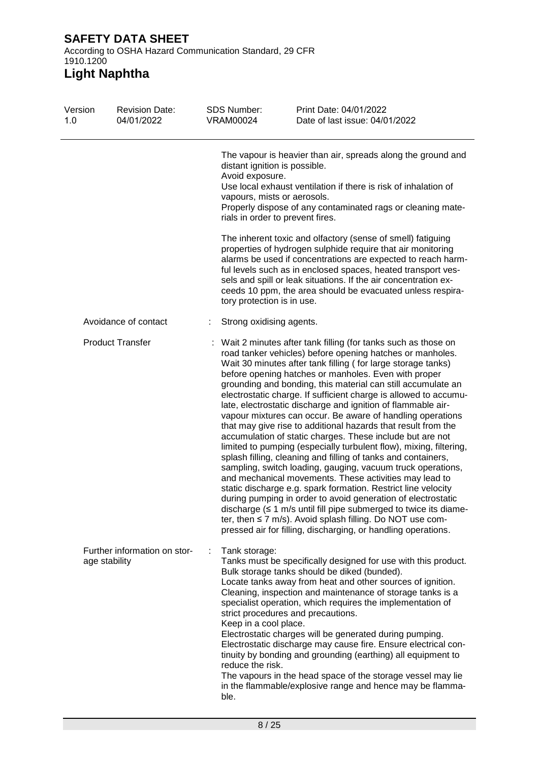According to OSHA Hazard Communication Standard, 29 CFR 1910.1200

| Version<br>1.0 | <b>Revision Date:</b><br>04/01/2022           | <b>SDS Number:</b><br>VRAM00024                                                 | Print Date: 04/01/2022<br>Date of last issue: 04/01/2022                                                                                                                                                                                                                                                                                                                                                                                                                                                                                                                                                                                                                                                                                                                                                                                                                                                                                                                                                                                                                                                                                                                                                                                                                 |
|----------------|-----------------------------------------------|---------------------------------------------------------------------------------|--------------------------------------------------------------------------------------------------------------------------------------------------------------------------------------------------------------------------------------------------------------------------------------------------------------------------------------------------------------------------------------------------------------------------------------------------------------------------------------------------------------------------------------------------------------------------------------------------------------------------------------------------------------------------------------------------------------------------------------------------------------------------------------------------------------------------------------------------------------------------------------------------------------------------------------------------------------------------------------------------------------------------------------------------------------------------------------------------------------------------------------------------------------------------------------------------------------------------------------------------------------------------|
|                |                                               | distant ignition is possible.<br>Avoid exposure.<br>vapours, mists or aerosols. | The vapour is heavier than air, spreads along the ground and<br>Use local exhaust ventilation if there is risk of inhalation of<br>Properly dispose of any contaminated rags or cleaning mate-<br>rials in order to prevent fires.                                                                                                                                                                                                                                                                                                                                                                                                                                                                                                                                                                                                                                                                                                                                                                                                                                                                                                                                                                                                                                       |
|                |                                               | tory protection is in use.                                                      | The inherent toxic and olfactory (sense of smell) fatiguing<br>properties of hydrogen sulphide require that air monitoring<br>alarms be used if concentrations are expected to reach harm-<br>ful levels such as in enclosed spaces, heated transport ves-<br>sels and spill or leak situations. If the air concentration ex-<br>ceeds 10 ppm, the area should be evacuated unless respira-                                                                                                                                                                                                                                                                                                                                                                                                                                                                                                                                                                                                                                                                                                                                                                                                                                                                              |
|                | Avoidance of contact                          | Strong oxidising agents.                                                        |                                                                                                                                                                                                                                                                                                                                                                                                                                                                                                                                                                                                                                                                                                                                                                                                                                                                                                                                                                                                                                                                                                                                                                                                                                                                          |
|                | <b>Product Transfer</b>                       |                                                                                 | Wait 2 minutes after tank filling (for tanks such as those on<br>road tanker vehicles) before opening hatches or manholes.<br>Wait 30 minutes after tank filling (for large storage tanks)<br>before opening hatches or manholes. Even with proper<br>grounding and bonding, this material can still accumulate an<br>electrostatic charge. If sufficient charge is allowed to accumu-<br>late, electrostatic discharge and ignition of flammable air-<br>vapour mixtures can occur. Be aware of handling operations<br>that may give rise to additional hazards that result from the<br>accumulation of static charges. These include but are not<br>limited to pumping (especially turbulent flow), mixing, filtering,<br>splash filling, cleaning and filling of tanks and containers,<br>sampling, switch loading, gauging, vacuum truck operations,<br>and mechanical movements. These activities may lead to<br>static discharge e.g. spark formation. Restrict line velocity<br>during pumping in order to avoid generation of electrostatic<br>discharge $( \leq 1 \text{ m/s}$ until fill pipe submerged to twice its diame-<br>ter, then $\leq$ 7 m/s). Avoid splash filling. Do NOT use com-<br>pressed air for filling, discharging, or handling operations. |
|                | Further information on stor-<br>age stability | Tank storage:<br>Keep in a cool place.<br>reduce the risk.<br>ble.              | Tanks must be specifically designed for use with this product.<br>Bulk storage tanks should be diked (bunded).<br>Locate tanks away from heat and other sources of ignition.<br>Cleaning, inspection and maintenance of storage tanks is a<br>specialist operation, which requires the implementation of<br>strict procedures and precautions.<br>Electrostatic charges will be generated during pumping.<br>Electrostatic discharge may cause fire. Ensure electrical con-<br>tinuity by bonding and grounding (earthing) all equipment to<br>The vapours in the head space of the storage vessel may lie<br>in the flammable/explosive range and hence may be flamma-                                                                                                                                                                                                                                                                                                                                                                                                                                                                                                                                                                                                  |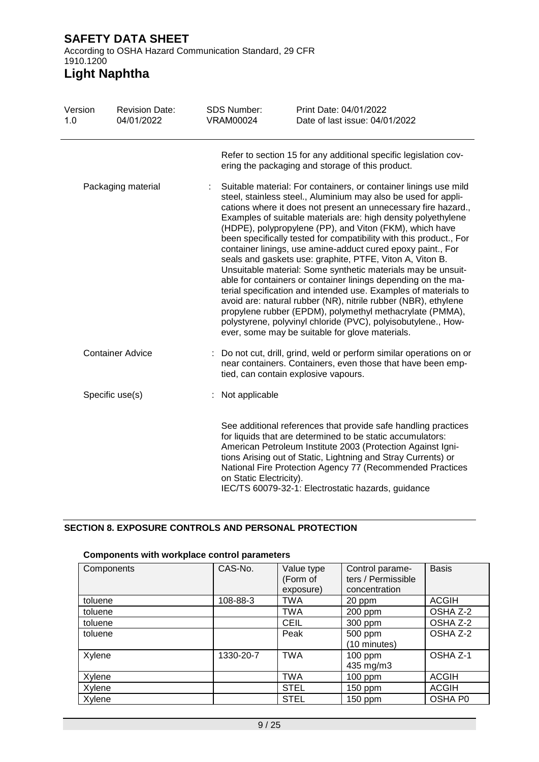# **Light Naphtha**

| Version<br>1.0 | <b>Revision Date:</b><br>04/01/2022 | <b>SDS Number:</b><br>VRAM00024 | Print Date: 04/01/2022<br>Date of last issue: 04/01/2022                                                                                                                                                                                                                                                                                                                                                                                                                                                                                                                                                                                                                                                                                                                                                                                                                                                                                                                                |
|----------------|-------------------------------------|---------------------------------|-----------------------------------------------------------------------------------------------------------------------------------------------------------------------------------------------------------------------------------------------------------------------------------------------------------------------------------------------------------------------------------------------------------------------------------------------------------------------------------------------------------------------------------------------------------------------------------------------------------------------------------------------------------------------------------------------------------------------------------------------------------------------------------------------------------------------------------------------------------------------------------------------------------------------------------------------------------------------------------------|
|                |                                     |                                 | Refer to section 15 for any additional specific legislation cov-<br>ering the packaging and storage of this product.                                                                                                                                                                                                                                                                                                                                                                                                                                                                                                                                                                                                                                                                                                                                                                                                                                                                    |
|                | Packaging material                  |                                 | Suitable material: For containers, or container linings use mild<br>steel, stainless steel., Aluminium may also be used for appli-<br>cations where it does not present an unnecessary fire hazard.,<br>Examples of suitable materials are: high density polyethylene<br>(HDPE), polypropylene (PP), and Viton (FKM), which have<br>been specifically tested for compatibility with this product., For<br>container linings, use amine-adduct cured epoxy paint., For<br>seals and gaskets use: graphite, PTFE, Viton A, Viton B.<br>Unsuitable material: Some synthetic materials may be unsuit-<br>able for containers or container linings depending on the ma-<br>terial specification and intended use. Examples of materials to<br>avoid are: natural rubber (NR), nitrile rubber (NBR), ethylene<br>propylene rubber (EPDM), polymethyl methacrylate (PMMA),<br>polystyrene, polyvinyl chloride (PVC), polyisobutylene., How-<br>ever, some may be suitable for glove materials. |
|                | <b>Container Advice</b>             |                                 | Do not cut, drill, grind, weld or perform similar operations on or<br>near containers. Containers, even those that have been emp-<br>tied, can contain explosive vapours.                                                                                                                                                                                                                                                                                                                                                                                                                                                                                                                                                                                                                                                                                                                                                                                                               |
|                | Specific use(s)                     | Not applicable                  |                                                                                                                                                                                                                                                                                                                                                                                                                                                                                                                                                                                                                                                                                                                                                                                                                                                                                                                                                                                         |
|                |                                     | on Static Electricity).         | See additional references that provide safe handling practices<br>for liquids that are determined to be static accumulators:<br>American Petroleum Institute 2003 (Protection Against Igni-<br>tions Arising out of Static, Lightning and Stray Currents) or<br>National Fire Protection Agency 77 (Recommended Practices<br>IEC/TS 60079-32-1: Electrostatic hazards, guidance                                                                                                                                                                                                                                                                                                                                                                                                                                                                                                                                                                                                         |

## **SECTION 8. EXPOSURE CONTROLS AND PERSONAL PROTECTION**

#### Components CAS-No. Value type (Form of exposure)<br>TWA Control parameters / Permissible concentration **Basis** toluene | 108-88-3 | TWA | 20 ppm | ACGIH toluene toluene TWA 200 ppm OSHA Z-2 toluene CEIL 300 ppm OSHA Z-2 toluene and peak  $\vert$  Peak  $\vert$  500 ppm (10 minutes) OSHA Z-2 Xylene 1330-20-7 TWA 100 ppm 435 mg/m3 OSHA Z-1 Xylene **TWA** 100 ppm ACGIH Xylene STEL 150 ppm ACGIH Xylene STEL 150 ppm OSHA P0

### **Components with workplace control parameters**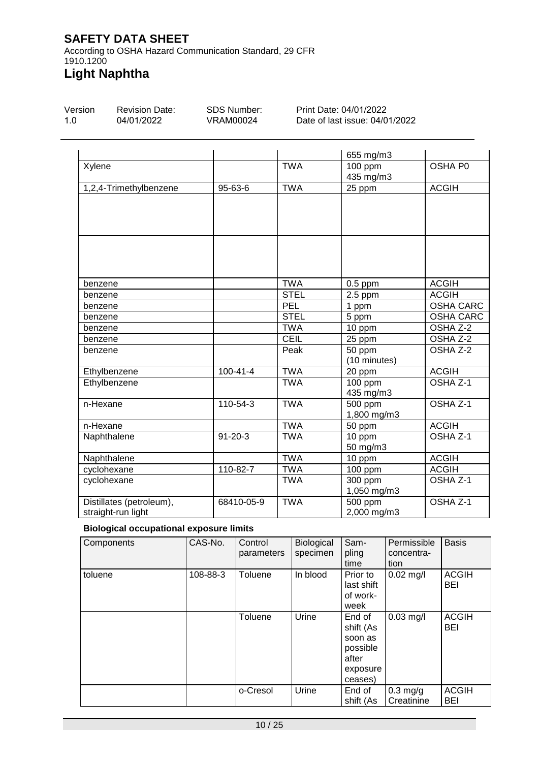According to OSHA Hazard Communication Standard, 29 CFR 1910.1200 **Light Naphtha**

### Version Revision Date:

1.0

04/01/2022

SDS Number: VRAM00024

Print Date: 04/01/2022 Date of last issue: 04/01/2022

|                                                |                |             | 655 mg/m3                           |                     |
|------------------------------------------------|----------------|-------------|-------------------------------------|---------------------|
| Xylene                                         |                | <b>TWA</b>  | 100 ppm<br>435 mg/m3                | OSHA P0             |
| 1,2,4-Trimethylbenzene                         | 95-63-6        | <b>TWA</b>  | 25 ppm                              | <b>ACGIH</b>        |
|                                                |                |             |                                     |                     |
|                                                |                |             |                                     |                     |
| benzene                                        |                | <b>TWA</b>  | $0.5$ ppm                           | <b>ACGIH</b>        |
| benzene                                        |                | <b>STEL</b> | $2.5$ ppm                           | <b>ACGIH</b>        |
| benzene                                        |                | PEL         | 1 ppm                               | <b>OSHA CARC</b>    |
| benzene                                        |                | <b>STEL</b> | 5 ppm                               | <b>OSHA CARC</b>    |
| benzene                                        |                | <b>TWA</b>  | 10 ppm                              | OSHA Z-2            |
| benzene                                        |                | CEIL        | 25 ppm                              | OSHA Z-2            |
| benzene                                        |                | Peak        | 50 ppm<br>(10 minutes)              | OSHA Z-2            |
| Ethylbenzene                                   | $100 - 41 - 4$ | <b>TWA</b>  | 20 ppm                              | <b>ACGIH</b>        |
| Ethylbenzene                                   |                | <b>TWA</b>  | 100 ppm<br>435 mg/m3                | OSHA <sub>Z-1</sub> |
| n-Hexane                                       | $110-54-3$     | <b>TWA</b>  | $\overline{500}$ ppm<br>1,800 mg/m3 | OSHA Z-1            |
| n-Hexane                                       |                | <b>TWA</b>  | 50 ppm                              | <b>ACGIH</b>        |
| Naphthalene                                    | $91 - 20 - 3$  | <b>TWA</b>  | 10 ppm<br>50 mg/m3                  | OSHA Z-1            |
| Naphthalene                                    |                | <b>TWA</b>  | 10 ppm                              | <b>ACGIH</b>        |
| cyclohexane                                    | 110-82-7       | <b>TWA</b>  | 100 ppm                             | <b>ACGIH</b>        |
| cyclohexane                                    |                | <b>TWA</b>  | 300 ppm<br>1,050 mg/m3              | OSHA <sub>Z-1</sub> |
| Distillates (petroleum),<br>straight-run light | 68410-05-9     | <b>TWA</b>  | 500 ppm<br>2,000 mg/m3              | OSHA Z-1            |

## **Biological occupational exposure limits**

| Components | CAS-No.  | Control<br>parameters | Biological<br>specimen | Sam-<br>pling<br>time                                                      | Permissible<br>concentra-<br>tion | <b>Basis</b>               |
|------------|----------|-----------------------|------------------------|----------------------------------------------------------------------------|-----------------------------------|----------------------------|
| toluene    | 108-88-3 | Toluene               | In blood               | Prior to<br>last shift<br>of work-<br>week                                 | $0.02$ mg/l                       | <b>ACGIH</b><br><b>BEI</b> |
|            |          | Toluene               | Urine                  | End of<br>shift (As<br>soon as<br>possible<br>after<br>exposure<br>ceases) | $0.03$ mg/l                       | <b>ACGIH</b><br>BEI        |
|            |          | o-Cresol              | Urine                  | End of<br>shift (As                                                        | $0.3$ mg/g<br>Creatinine          | <b>ACGIH</b><br><b>BEI</b> |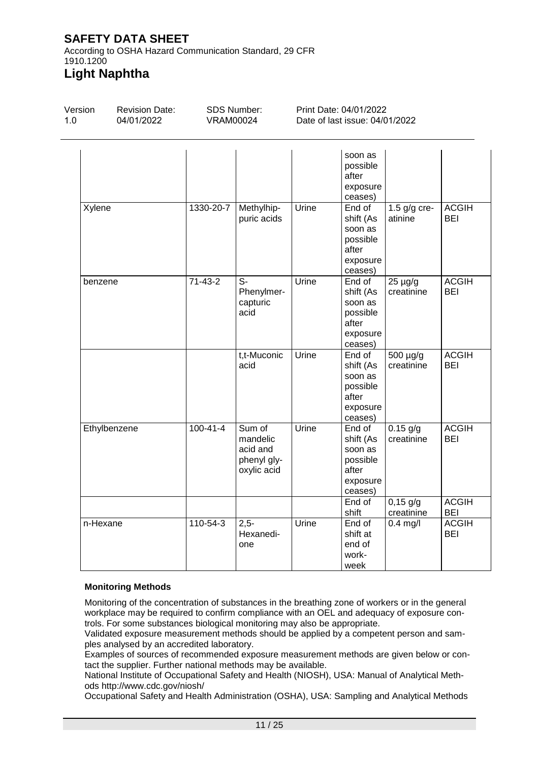According to OSHA Hazard Communication Standard, 29 CFR 1910.1200 **Light Naphtha**

#### Version 1.0 Revision Date: 04/01/2022 SDS Number: VRAM00024 Print Date: 04/01/2022 Date of last issue: 04/01/2022 soon as possible after exposure ceases) Xylene 1330-20-7 Methylhippuric acids Urine End of shift (As soon as possible after exposure ceases) 1.5 g/g creatinine ACGIH BEI benzene  $|71-43-2|$  S-Phenylmercapturic acid Urine End of shift (As soon as possible after exposure ceases) 25 µg/g creatinine ACGIH BEI t,t-Muconic acid Urine End of shift (As soon as possible after exposure ceases) 500 µg/g creatinine ACGIH BEI Ethylbenzene 100-41-4 Sum of mandelic acid and phenyl glyoxylic acid Urine End of shift (As soon as possible after exposure ceases) 0.15 g/g creatinine ACGIH BEI End of shift 0,15 g/g creatinine ACGIH BEI n-Hexane 110-54-3 2.5-Hexanedione Urine End of shift at end of workweek 0.4 mg/l ACGIH BEI

## **Monitoring Methods**

Monitoring of the concentration of substances in the breathing zone of workers or in the general workplace may be required to confirm compliance with an OEL and adequacy of exposure controls. For some substances biological monitoring may also be appropriate.

Validated exposure measurement methods should be applied by a competent person and samples analysed by an accredited laboratory.

Examples of sources of recommended exposure measurement methods are given below or contact the supplier. Further national methods may be available.

National Institute of Occupational Safety and Health (NIOSH), USA: Manual of Analytical Methods http://www.cdc.gov/niosh/

Occupational Safety and Health Administration (OSHA), USA: Sampling and Analytical Methods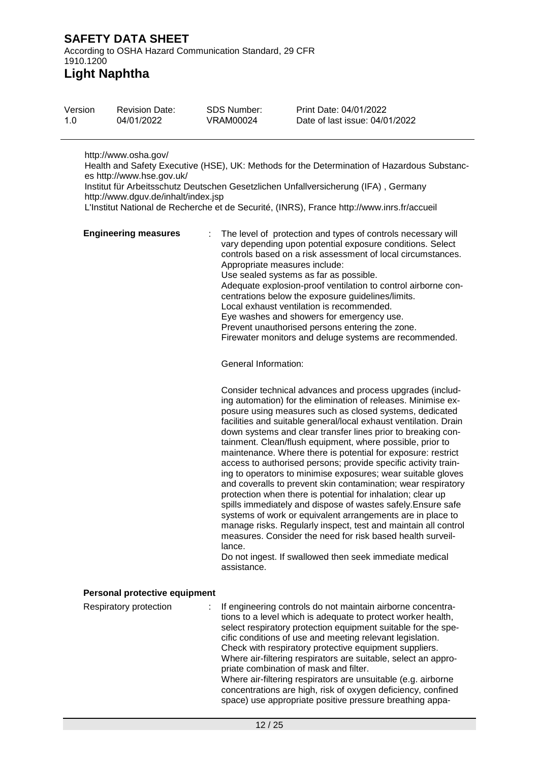According to OSHA Hazard Communication Standard, 29 CFR 1910.1200

# **Light Naphtha**

| Version | <b>Revision Date:</b> | SDS Number: | Print Date: 04/01/2022         |
|---------|-----------------------|-------------|--------------------------------|
| 1.0     | 04/01/2022            | VRAM00024   | Date of last issue: 04/01/2022 |
|         |                       |             |                                |

http://www.osha.gov/

Health and Safety Executive (HSE), UK: Methods for the Determination of Hazardous Substances http://www.hse.gov.uk/

Institut für Arbeitsschutz Deutschen Gesetzlichen Unfallversicherung (IFA) , Germany http://www.dguv.de/inhalt/index.jsp

L'Institut National de Recherche et de Securité, (INRS), France http://www.inrs.fr/accueil

| <b>Engineering measures</b>   | The level of protection and types of controls necessary will<br>vary depending upon potential exposure conditions. Select<br>controls based on a risk assessment of local circumstances.<br>Appropriate measures include:<br>Use sealed systems as far as possible.<br>Adequate explosion-proof ventilation to control airborne con-<br>centrations below the exposure guidelines/limits.<br>Local exhaust ventilation is recommended.<br>Eye washes and showers for emergency use.<br>Prevent unauthorised persons entering the zone.<br>Firewater monitors and deluge systems are recommended.<br>General Information:                                                                                                                                                                                                                                                                                                                                                                                                                                                   |
|-------------------------------|----------------------------------------------------------------------------------------------------------------------------------------------------------------------------------------------------------------------------------------------------------------------------------------------------------------------------------------------------------------------------------------------------------------------------------------------------------------------------------------------------------------------------------------------------------------------------------------------------------------------------------------------------------------------------------------------------------------------------------------------------------------------------------------------------------------------------------------------------------------------------------------------------------------------------------------------------------------------------------------------------------------------------------------------------------------------------|
|                               | Consider technical advances and process upgrades (includ-<br>ing automation) for the elimination of releases. Minimise ex-<br>posure using measures such as closed systems, dedicated<br>facilities and suitable general/local exhaust ventilation. Drain<br>down systems and clear transfer lines prior to breaking con-<br>tainment. Clean/flush equipment, where possible, prior to<br>maintenance. Where there is potential for exposure: restrict<br>access to authorised persons; provide specific activity train-<br>ing to operators to minimise exposures; wear suitable gloves<br>and coveralls to prevent skin contamination; wear respiratory<br>protection when there is potential for inhalation; clear up<br>spills immediately and dispose of wastes safely. Ensure safe<br>systems of work or equivalent arrangements are in place to<br>manage risks. Regularly inspect, test and maintain all control<br>measures. Consider the need for risk based health surveil-<br>lance.<br>Do not ingest. If swallowed then seek immediate medical<br>assistance. |
| Personal protective equipment |                                                                                                                                                                                                                                                                                                                                                                                                                                                                                                                                                                                                                                                                                                                                                                                                                                                                                                                                                                                                                                                                            |
| Respiratory protection        | If engineering controls do not maintain airborne concentra-<br>tions to a level which is adequate to protect worker health,<br>select respiratory protection equipment suitable for the spe-<br>cific conditions of use and meeting relevant legislation.<br>Check with respiratory protective equipment suppliers.<br>Where air-filtering respirators are suitable, select an appro-<br>priate combination of mask and filter.<br>Where air-filtering respirators are unsuitable (e.g. airborne<br>concentrations are high, risk of oxygen deficiency, confined<br>space) use appropriate positive pressure breathing appa-                                                                                                                                                                                                                                                                                                                                                                                                                                               |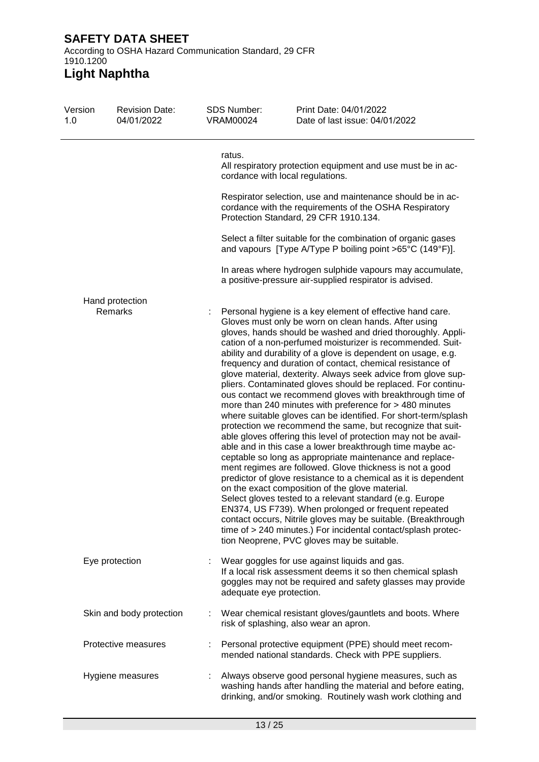According to OSHA Hazard Communication Standard, 29 CFR 1910.1200

| Version<br>1.0 | <b>Revision Date:</b><br>04/01/2022 | <b>SDS Number:</b><br><b>VRAM00024</b> | Print Date: 04/01/2022<br>Date of last issue: 04/01/2022                                                                                                                                                                                                                                                                                                                                                                                                                                                                                                                                                                                                                                                                                                                                                                                                                                                                                                                                                                                                                                                                                                                                                                                                                                                                                                                                                                                               |
|----------------|-------------------------------------|----------------------------------------|--------------------------------------------------------------------------------------------------------------------------------------------------------------------------------------------------------------------------------------------------------------------------------------------------------------------------------------------------------------------------------------------------------------------------------------------------------------------------------------------------------------------------------------------------------------------------------------------------------------------------------------------------------------------------------------------------------------------------------------------------------------------------------------------------------------------------------------------------------------------------------------------------------------------------------------------------------------------------------------------------------------------------------------------------------------------------------------------------------------------------------------------------------------------------------------------------------------------------------------------------------------------------------------------------------------------------------------------------------------------------------------------------------------------------------------------------------|
|                |                                     | ratus.                                 | All respiratory protection equipment and use must be in ac-<br>cordance with local regulations.                                                                                                                                                                                                                                                                                                                                                                                                                                                                                                                                                                                                                                                                                                                                                                                                                                                                                                                                                                                                                                                                                                                                                                                                                                                                                                                                                        |
|                |                                     |                                        | Respirator selection, use and maintenance should be in ac-<br>cordance with the requirements of the OSHA Respiratory<br>Protection Standard, 29 CFR 1910.134.                                                                                                                                                                                                                                                                                                                                                                                                                                                                                                                                                                                                                                                                                                                                                                                                                                                                                                                                                                                                                                                                                                                                                                                                                                                                                          |
|                |                                     |                                        | Select a filter suitable for the combination of organic gases<br>and vapours [Type A/Type P boiling point >65°C (149°F)].                                                                                                                                                                                                                                                                                                                                                                                                                                                                                                                                                                                                                                                                                                                                                                                                                                                                                                                                                                                                                                                                                                                                                                                                                                                                                                                              |
|                |                                     |                                        | In areas where hydrogen sulphide vapours may accumulate,<br>a positive-pressure air-supplied respirator is advised.                                                                                                                                                                                                                                                                                                                                                                                                                                                                                                                                                                                                                                                                                                                                                                                                                                                                                                                                                                                                                                                                                                                                                                                                                                                                                                                                    |
|                | Hand protection                     |                                        |                                                                                                                                                                                                                                                                                                                                                                                                                                                                                                                                                                                                                                                                                                                                                                                                                                                                                                                                                                                                                                                                                                                                                                                                                                                                                                                                                                                                                                                        |
|                | Remarks                             |                                        | Personal hygiene is a key element of effective hand care.<br>Gloves must only be worn on clean hands. After using<br>gloves, hands should be washed and dried thoroughly. Appli-<br>cation of a non-perfumed moisturizer is recommended. Suit-<br>ability and durability of a glove is dependent on usage, e.g.<br>frequency and duration of contact, chemical resistance of<br>glove material, dexterity. Always seek advice from glove sup-<br>pliers. Contaminated gloves should be replaced. For continu-<br>ous contact we recommend gloves with breakthrough time of<br>more than 240 minutes with preference for > 480 minutes<br>where suitable gloves can be identified. For short-term/splash<br>protection we recommend the same, but recognize that suit-<br>able gloves offering this level of protection may not be avail-<br>able and in this case a lower breakthrough time maybe ac-<br>ceptable so long as appropriate maintenance and replace-<br>ment regimes are followed. Glove thickness is not a good<br>predictor of glove resistance to a chemical as it is dependent<br>on the exact composition of the glove material.<br>Select gloves tested to a relevant standard (e.g. Europe<br>EN374, US F739). When prolonged or frequent repeated<br>contact occurs, Nitrile gloves may be suitable. (Breakthrough<br>time of > 240 minutes.) For incidental contact/splash protec-<br>tion Neoprene, PVC gloves may be suitable. |
|                | Eye protection                      | adequate eye protection.               | Wear goggles for use against liquids and gas.<br>If a local risk assessment deems it so then chemical splash<br>goggles may not be required and safety glasses may provide                                                                                                                                                                                                                                                                                                                                                                                                                                                                                                                                                                                                                                                                                                                                                                                                                                                                                                                                                                                                                                                                                                                                                                                                                                                                             |
|                | Skin and body protection            |                                        | : Wear chemical resistant gloves/gauntlets and boots. Where<br>risk of splashing, also wear an apron.                                                                                                                                                                                                                                                                                                                                                                                                                                                                                                                                                                                                                                                                                                                                                                                                                                                                                                                                                                                                                                                                                                                                                                                                                                                                                                                                                  |
|                | Protective measures                 |                                        | Personal protective equipment (PPE) should meet recom-<br>mended national standards. Check with PPE suppliers.                                                                                                                                                                                                                                                                                                                                                                                                                                                                                                                                                                                                                                                                                                                                                                                                                                                                                                                                                                                                                                                                                                                                                                                                                                                                                                                                         |
|                | Hygiene measures                    |                                        | Always observe good personal hygiene measures, such as<br>washing hands after handling the material and before eating,<br>drinking, and/or smoking. Routinely wash work clothing and                                                                                                                                                                                                                                                                                                                                                                                                                                                                                                                                                                                                                                                                                                                                                                                                                                                                                                                                                                                                                                                                                                                                                                                                                                                                   |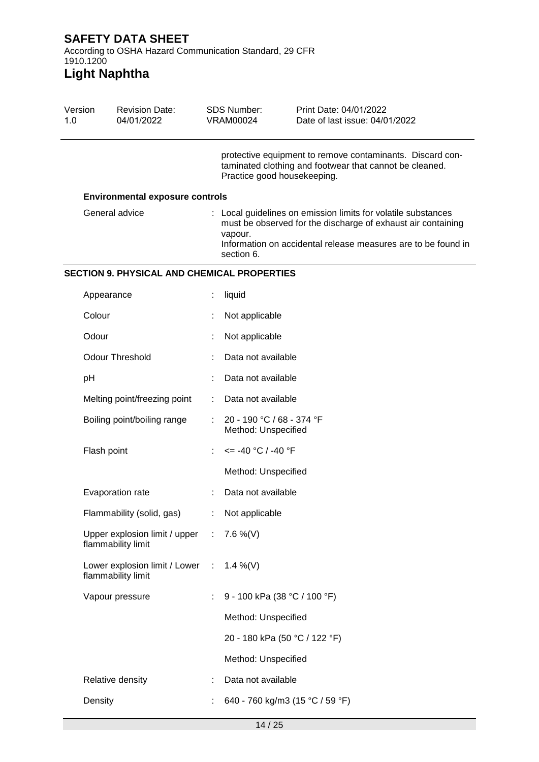According to OSHA Hazard Communication Standard, 29 CFR 1910.1200

| Version<br>1.0 |             | <b>Revision Date:</b><br>04/01/2022                   |    | <b>SDS Number:</b><br><b>VRAM00024</b>           | Print Date: 04/01/2022<br>Date of last issue: 04/01/2022                                                                                                                                       |
|----------------|-------------|-------------------------------------------------------|----|--------------------------------------------------|------------------------------------------------------------------------------------------------------------------------------------------------------------------------------------------------|
|                |             |                                                       |    | Practice good housekeeping.                      | protective equipment to remove contaminants. Discard con-<br>taminated clothing and footwear that cannot be cleaned.                                                                           |
|                |             | <b>Environmental exposure controls</b>                |    |                                                  |                                                                                                                                                                                                |
|                |             | General advice                                        |    | vapour.<br>section 6.                            | : Local guidelines on emission limits for volatile substances<br>must be observed for the discharge of exhaust air containing<br>Information on accidental release measures are to be found in |
|                |             | <b>SECTION 9. PHYSICAL AND CHEMICAL PROPERTIES</b>    |    |                                                  |                                                                                                                                                                                                |
|                | Appearance  |                                                       |    | liquid                                           |                                                                                                                                                                                                |
|                | Colour      |                                                       |    | Not applicable                                   |                                                                                                                                                                                                |
|                | Odour       |                                                       |    | Not applicable                                   |                                                                                                                                                                                                |
|                |             | <b>Odour Threshold</b>                                |    | Data not available                               |                                                                                                                                                                                                |
|                | pH          |                                                       |    | Data not available                               |                                                                                                                                                                                                |
|                |             | Melting point/freezing point                          |    | Data not available                               |                                                                                                                                                                                                |
|                |             | Boiling point/boiling range                           |    | 20 - 190 °C / 68 - 374 °F<br>Method: Unspecified |                                                                                                                                                                                                |
|                | Flash point |                                                       |    | $\epsilon$ = -40 °C / -40 °F                     |                                                                                                                                                                                                |
|                |             |                                                       |    | Method: Unspecified                              |                                                                                                                                                                                                |
|                |             | Evaporation rate                                      |    | Data not available                               |                                                                                                                                                                                                |
|                |             | Flammability (solid, gas)                             | ÷  | Not applicable                                   |                                                                                                                                                                                                |
|                |             | Upper explosion limit / upper :<br>flammability limit |    | 7.6 %(V)                                         |                                                                                                                                                                                                |
|                |             | Lower explosion limit / Lower :<br>flammability limit |    | 1.4 %(V)                                         |                                                                                                                                                                                                |
|                |             | Vapour pressure                                       | ÷. | 9 - 100 kPa (38 °C / 100 °F)                     |                                                                                                                                                                                                |
|                |             |                                                       |    | Method: Unspecified                              |                                                                                                                                                                                                |
|                |             |                                                       |    | 20 - 180 kPa (50 °C / 122 °F)                    |                                                                                                                                                                                                |
|                |             |                                                       |    | Method: Unspecified                              |                                                                                                                                                                                                |
|                |             | Relative density                                      |    | Data not available                               |                                                                                                                                                                                                |
|                | Density     |                                                       |    | 640 - 760 kg/m3 (15 °C / 59 °F)                  |                                                                                                                                                                                                |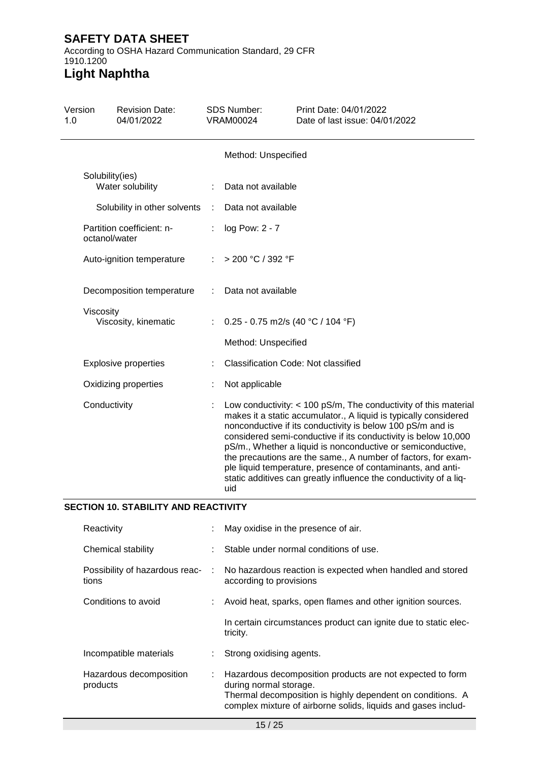According to OSHA Hazard Communication Standard, 29 CFR 1910.1200 **Light Naphtha**

## Version 1.0 Revision Date: 04/01/2022 SDS Number: VRAM00024 Print Date: 04/01/2022 Date of last issue: 04/01/2022 Method: Unspecified Solubility(ies)<br>Water solubility : Data not available Solubility in other solvents : Data not available Partition coefficient: noctanol/water : log Pow: 2 - 7 Auto-ignition temperature : > 200 °C / 392 °F Decomposition temperature : Data not available Viscosity<br>Viscosity, kinematic :  $0.25 - 0.75$  m2/s (40 °C / 104 °F) Method: Unspecified Explosive properties : Classification Code: Not classified Oxidizing properties : Not applicable Conductivity : Low conductivity: < 100 pS/m, The conductivity of this material makes it a static accumulator., A liquid is typically considered nonconductive if its conductivity is below 100 pS/m and is considered semi-conductive if its conductivity is below 10,000 pS/m., Whether a liquid is nonconductive or semiconductive, the precautions are the same., A number of factors, for example liquid temperature, presence of contaminants, and antistatic additives can greatly influence the conductivity of a liquid

## **SECTION 10. STABILITY AND REACTIVITY**

| Reactivity                              | : May oxidise in the presence of air.                                                                                                                                                                                |  |
|-----------------------------------------|----------------------------------------------------------------------------------------------------------------------------------------------------------------------------------------------------------------------|--|
| Chemical stability                      | : Stable under normal conditions of use.                                                                                                                                                                             |  |
| Possibility of hazardous reac-<br>tions | : No hazardous reaction is expected when handled and stored<br>according to provisions                                                                                                                               |  |
| Conditions to avoid                     | : Avoid heat, sparks, open flames and other ignition sources.                                                                                                                                                        |  |
|                                         | In certain circumstances product can ignite due to static elec-<br>tricity.                                                                                                                                          |  |
| Incompatible materials                  | : Strong oxidising agents.                                                                                                                                                                                           |  |
| Hazardous decomposition<br>products     | : Hazardous decomposition products are not expected to form<br>during normal storage.<br>Thermal decomposition is highly dependent on conditions. A<br>complex mixture of airborne solids, liquids and gases includ- |  |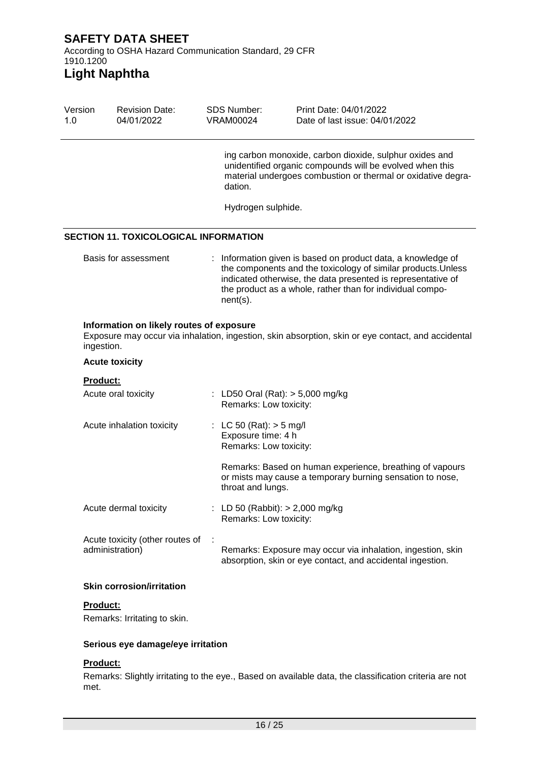# **Light Naphtha**

| Version<br>1.0  | <b>Revision Date:</b><br>04/01/2022                | <b>VRAM00024</b> | <b>SDS Number:</b>                                                        | Print Date: 04/01/2022<br>Date of last issue: 04/01/2022                                                                                                                                                                                                 |
|-----------------|----------------------------------------------------|------------------|---------------------------------------------------------------------------|----------------------------------------------------------------------------------------------------------------------------------------------------------------------------------------------------------------------------------------------------------|
|                 |                                                    |                  | dation.                                                                   | ing carbon monoxide, carbon dioxide, sulphur oxides and<br>unidentified organic compounds will be evolved when this<br>material undergoes combustion or thermal or oxidative degra-                                                                      |
|                 |                                                    |                  | Hydrogen sulphide.                                                        |                                                                                                                                                                                                                                                          |
|                 | SECTION 11. TOXICOLOGICAL INFORMATION              |                  |                                                                           |                                                                                                                                                                                                                                                          |
|                 | Basis for assessment                               |                  | $nent(s)$ .                                                               | Information given is based on product data, a knowledge of<br>the components and the toxicology of similar products. Unless<br>indicated otherwise, the data presented is representative of<br>the product as a whole, rather than for individual compo- |
| ingestion.      | Information on likely routes of exposure           |                  |                                                                           | Exposure may occur via inhalation, ingestion, skin absorption, skin or eye contact, and accidental                                                                                                                                                       |
|                 | <b>Acute toxicity</b>                              |                  |                                                                           |                                                                                                                                                                                                                                                          |
| <b>Product:</b> |                                                    |                  |                                                                           |                                                                                                                                                                                                                                                          |
|                 | Acute oral toxicity                                |                  | Remarks: Low toxicity:                                                    | : LD50 Oral (Rat): $>$ 5,000 mg/kg                                                                                                                                                                                                                       |
|                 | Acute inhalation toxicity                          |                  | : LC 50 (Rat): $>$ 5 mg/l<br>Exposure time: 4 h<br>Remarks: Low toxicity: |                                                                                                                                                                                                                                                          |
|                 |                                                    |                  | throat and lungs.                                                         | Remarks: Based on human experience, breathing of vapours<br>or mists may cause a temporary burning sensation to nose,                                                                                                                                    |
|                 | Acute dermal toxicity                              |                  | Remarks: Low toxicity:                                                    | : LD 50 (Rabbit): $> 2,000$ mg/kg                                                                                                                                                                                                                        |
|                 | Acute toxicity (other routes of<br>administration) |                  |                                                                           | Remarks: Exposure may occur via inhalation, ingestion, skin<br>absorption, skin or eye contact, and accidental ingestion.                                                                                                                                |
|                 | <b>Skin corrosion/irritation</b>                   |                  |                                                                           |                                                                                                                                                                                                                                                          |
| Product:        | Remarks: Irritating to skin.                       |                  |                                                                           |                                                                                                                                                                                                                                                          |
|                 | Serious eye damage/eye irritation                  |                  |                                                                           |                                                                                                                                                                                                                                                          |

# **Product:**

Remarks: Slightly irritating to the eye., Based on available data, the classification criteria are not met.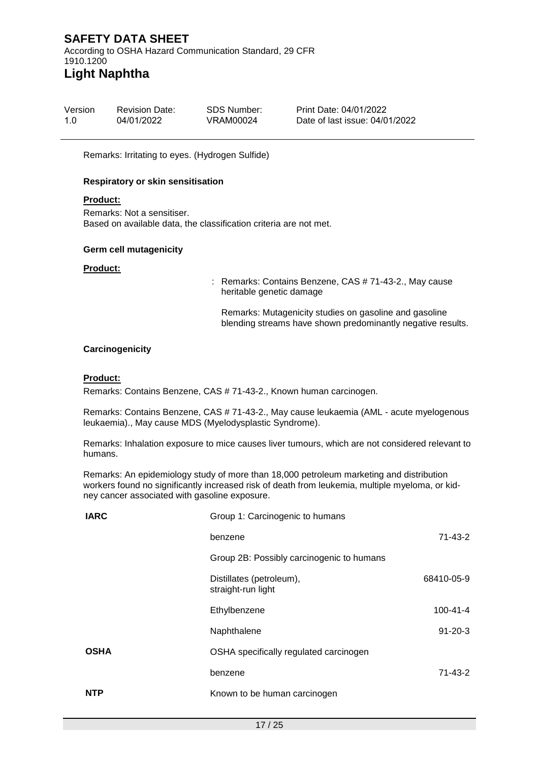According to OSHA Hazard Communication Standard, 29 CFR 1910.1200 **Light Naphtha**

| Version | <b>Revision Date:</b> | SDS Number: | <b>Print Date: 04/01/2</b> |
|---------|-----------------------|-------------|----------------------------|
| 1.0     | 04/01/2022            | VRAM00024   | Date of last issue:        |

P<sub>022</sub> 04/01/2022

Remarks: Irritating to eyes. (Hydrogen Sulfide)

#### **Respiratory or skin sensitisation**

#### **Product:**

Remarks: Not a sensitiser. Based on available data, the classification criteria are not met.

#### **Germ cell mutagenicity**

#### **Product:**

: Remarks: Contains Benzene, CAS # 71-43-2., May cause heritable genetic damage

Remarks: Mutagenicity studies on gasoline and gasoline blending streams have shown predominantly negative results.

#### **Carcinogenicity**

#### **Product:**

Remarks: Contains Benzene, CAS # 71-43-2., Known human carcinogen.

Remarks: Contains Benzene, CAS # 71-43-2., May cause leukaemia (AML - acute myelogenous leukaemia)., May cause MDS (Myelodysplastic Syndrome).

Remarks: Inhalation exposure to mice causes liver tumours, which are not considered relevant to humans.

Remarks: An epidemiology study of more than 18,000 petroleum marketing and distribution workers found no significantly increased risk of death from leukemia, multiple myeloma, or kidney cancer associated with gasoline exposure.

| <b>IARC</b> | Group 1: Carcinogenic to humans                |                |  |  |
|-------------|------------------------------------------------|----------------|--|--|
|             | benzene                                        | $71 - 43 - 2$  |  |  |
|             | Group 2B: Possibly carcinogenic to humans      |                |  |  |
|             | Distillates (petroleum),<br>straight-run light | 68410-05-9     |  |  |
|             | Ethylbenzene                                   | $100 - 41 - 4$ |  |  |
|             | Naphthalene                                    | $91 - 20 - 3$  |  |  |
| <b>OSHA</b> | OSHA specifically regulated carcinogen         |                |  |  |
|             | benzene                                        | 71-43-2        |  |  |
| <b>NTP</b>  | Known to be human carcinogen                   |                |  |  |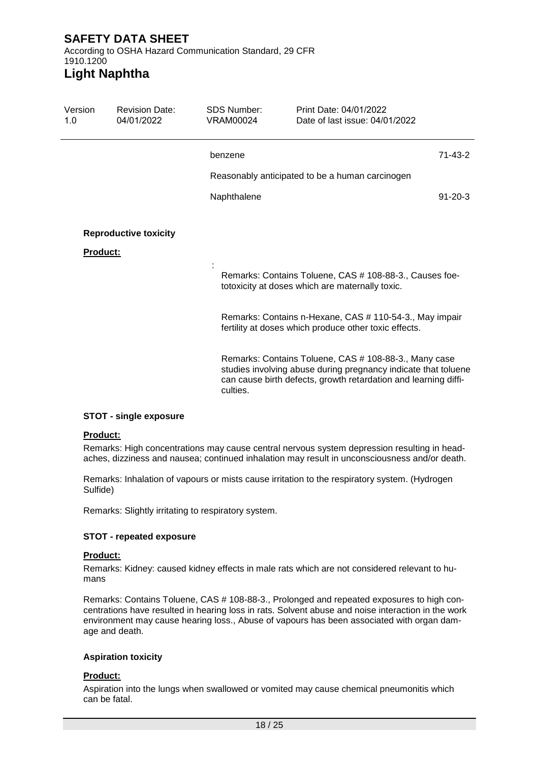According to OSHA Hazard Communication Standard, 29 CFR 1910.1200

# **Light Naphtha**

| Version<br>1.0  | <b>Revision Date:</b><br>04/01/2022 | SDS Number:<br>VRAM00024 | Print Date: 04/01/2022<br>Date of last issue: 04/01/2022                                                                                                                                   |               |
|-----------------|-------------------------------------|--------------------------|--------------------------------------------------------------------------------------------------------------------------------------------------------------------------------------------|---------------|
|                 |                                     | benzene                  |                                                                                                                                                                                            | $71 - 43 - 2$ |
|                 |                                     |                          | Reasonably anticipated to be a human carcinogen                                                                                                                                            |               |
|                 |                                     | Naphthalene              |                                                                                                                                                                                            | $91 - 20 - 3$ |
| <b>Product:</b> | <b>Reproductive toxicity</b>        |                          |                                                                                                                                                                                            |               |
|                 |                                     |                          | Remarks: Contains Toluene, CAS # 108-88-3., Causes foe-<br>totoxicity at doses which are maternally toxic.                                                                                 |               |
|                 |                                     |                          | Remarks: Contains n-Hexane, CAS # 110-54-3., May impair<br>fertility at doses which produce other toxic effects.                                                                           |               |
|                 |                                     | culties.                 | Remarks: Contains Toluene, CAS # 108-88-3., Many case<br>studies involving abuse during pregnancy indicate that toluene<br>can cause birth defects, growth retardation and learning diffi- |               |

### **STOT - single exposure**

#### **Product:**

Remarks: High concentrations may cause central nervous system depression resulting in headaches, dizziness and nausea; continued inhalation may result in unconsciousness and/or death.

Remarks: Inhalation of vapours or mists cause irritation to the respiratory system. (Hydrogen Sulfide)

Remarks: Slightly irritating to respiratory system.

### **STOT - repeated exposure**

#### **Product:**

Remarks: Kidney: caused kidney effects in male rats which are not considered relevant to humans

Remarks: Contains Toluene, CAS # 108-88-3., Prolonged and repeated exposures to high concentrations have resulted in hearing loss in rats. Solvent abuse and noise interaction in the work environment may cause hearing loss., Abuse of vapours has been associated with organ damage and death.

### **Aspiration toxicity**

### **Product:**

Aspiration into the lungs when swallowed or vomited may cause chemical pneumonitis which can be fatal.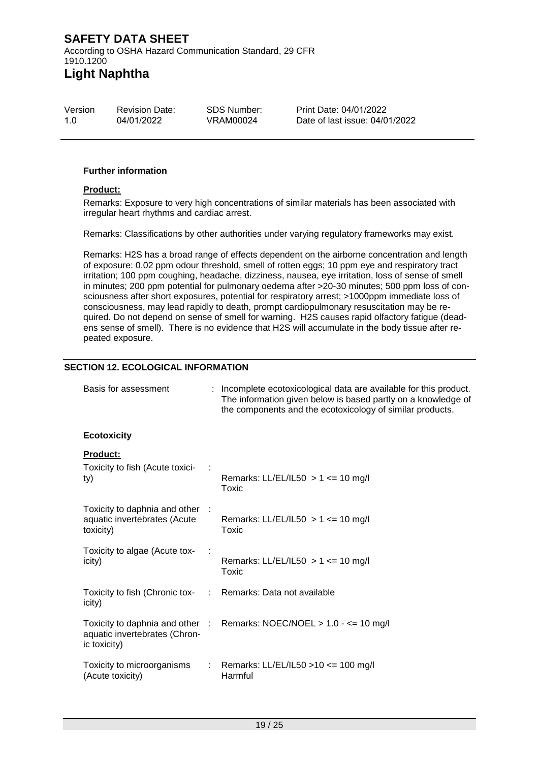| Version | <b>Revision Date:</b> | SDS Number: | <b>Print Da</b> |
|---------|-----------------------|-------------|-----------------|
| 1.0     | 04/01/2022            | VRAM00024   | Date of         |
|         |                       |             |                 |

rte: 04/01/2022 last issue: 04/01/2022

#### **Further information**

#### **Product:**

Remarks: Exposure to very high concentrations of similar materials has been associated with irregular heart rhythms and cardiac arrest.

Remarks: Classifications by other authorities under varying regulatory frameworks may exist.

Remarks: H2S has a broad range of effects dependent on the airborne concentration and length of exposure: 0.02 ppm odour threshold, smell of rotten eggs; 10 ppm eye and respiratory tract irritation; 100 ppm coughing, headache, dizziness, nausea, eye irritation, loss of sense of smell in minutes; 200 ppm potential for pulmonary oedema after >20-30 minutes; 500 ppm loss of consciousness after short exposures, potential for respiratory arrest; >1000ppm immediate loss of consciousness, may lead rapidly to death, prompt cardiopulmonary resuscitation may be required. Do not depend on sense of smell for warning. H2S causes rapid olfactory fatigue (deadens sense of smell). There is no evidence that H2S will accumulate in the body tissue after repeated exposure.

### **SECTION 12. ECOLOGICAL INFORMATION**

| Basis for assessment                                                         | : Incomplete ecotoxicological data are available for this product.<br>The information given below is based partly on a knowledge of<br>the components and the ecotoxicology of similar products. |  |
|------------------------------------------------------------------------------|--------------------------------------------------------------------------------------------------------------------------------------------------------------------------------------------------|--|
| <b>Ecotoxicity</b>                                                           |                                                                                                                                                                                                  |  |
| <b>Product:</b><br>Toxicity to fish (Acute toxici-<br>ty)                    | Remarks: LL/EL/IL50 $> 1$ <= 10 mg/l<br>Toxic                                                                                                                                                    |  |
| Toxicity to daphnia and other :<br>aquatic invertebrates (Acute<br>toxicity) | Remarks: LL/EL/IL50 $> 1$ <= 10 mg/l<br><b>Toxic</b>                                                                                                                                             |  |
| Toxicity to algae (Acute tox-<br>icity)                                      | Remarks: LL/EL/IL50 $> 1$ <= 10 mg/l<br>Toxic                                                                                                                                                    |  |
| Toxicity to fish (Chronic tox- : Remarks: Data not available<br>icity)       |                                                                                                                                                                                                  |  |
| aquatic invertebrates (Chron-<br>ic toxicity)                                | Toxicity to daphnia and other : Remarks: NOEC/NOEL > 1.0 - <= 10 mg/l                                                                                                                            |  |
| Toxicity to microorganisms<br>(Acute toxicity)                               | : Remarks: LL/EL/IL50 > 10 <= 100 mg/l<br>Harmful                                                                                                                                                |  |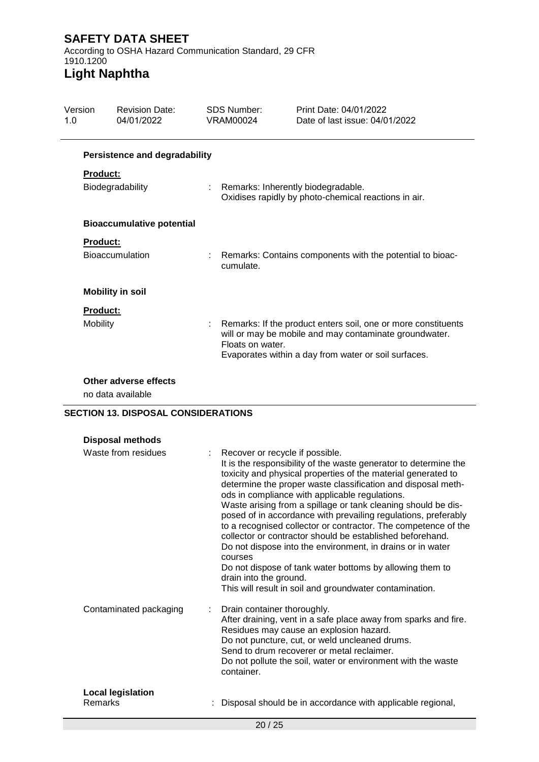According to OSHA Hazard Communication Standard, 29 CFR 1910.1200

# **Light Naphtha**

| Version<br>1.0 |                 | <b>Revision Date:</b><br>04/01/2022  | <b>SDS Number:</b><br><b>VRAM00024</b> | Print Date: 04/01/2022<br>Date of last issue: 04/01/2022                                                                                                                        |
|----------------|-----------------|--------------------------------------|----------------------------------------|---------------------------------------------------------------------------------------------------------------------------------------------------------------------------------|
|                |                 | <b>Persistence and degradability</b> |                                        |                                                                                                                                                                                 |
|                | <b>Product:</b> | Biodegradability                     |                                        | Remarks: Inherently biodegradable.<br>Oxidises rapidly by photo-chemical reactions in air.                                                                                      |
|                |                 | <b>Bioaccumulative potential</b>     |                                        |                                                                                                                                                                                 |
|                | <b>Product:</b> | <b>Bioaccumulation</b>               | cumulate.                              | Remarks: Contains components with the potential to bioac-                                                                                                                       |
|                |                 | <b>Mobility in soil</b>              |                                        |                                                                                                                                                                                 |
|                | <b>Product:</b> |                                      |                                        |                                                                                                                                                                                 |
|                | Mobility        |                                      | Floats on water.                       | Remarks: If the product enters soil, one or more constituents<br>will or may be mobile and may contaminate groundwater.<br>Evaporates within a day from water or soil surfaces. |
|                |                 | $\sim$ $\sim$ $\sim$ $\sim$ $\sim$   |                                        |                                                                                                                                                                                 |

### **Other adverse effects**

no data available

## **SECTION 13. DISPOSAL CONSIDERATIONS**

| Waste from residues                 | : Recover or recycle if possible.<br>It is the responsibility of the waste generator to determine the<br>toxicity and physical properties of the material generated to<br>determine the proper waste classification and disposal meth-<br>ods in compliance with applicable regulations.<br>Waste arising from a spillage or tank cleaning should be dis-<br>posed of in accordance with prevailing regulations, preferably<br>to a recognised collector or contractor. The competence of the<br>collector or contractor should be established beforehand.<br>Do not dispose into the environment, in drains or in water<br>courses<br>Do not dispose of tank water bottoms by allowing them to<br>drain into the ground.<br>This will result in soil and groundwater contamination. |
|-------------------------------------|--------------------------------------------------------------------------------------------------------------------------------------------------------------------------------------------------------------------------------------------------------------------------------------------------------------------------------------------------------------------------------------------------------------------------------------------------------------------------------------------------------------------------------------------------------------------------------------------------------------------------------------------------------------------------------------------------------------------------------------------------------------------------------------|
| Contaminated packaging              | Drain container thoroughly.<br>After draining, vent in a safe place away from sparks and fire.<br>Residues may cause an explosion hazard.<br>Do not puncture, cut, or weld uncleaned drums.<br>Send to drum recoverer or metal reclaimer.<br>Do not pollute the soil, water or environment with the waste<br>container.                                                                                                                                                                                                                                                                                                                                                                                                                                                              |
| <b>Local legislation</b><br>Remarks | Disposal should be in accordance with applicable regional,                                                                                                                                                                                                                                                                                                                                                                                                                                                                                                                                                                                                                                                                                                                           |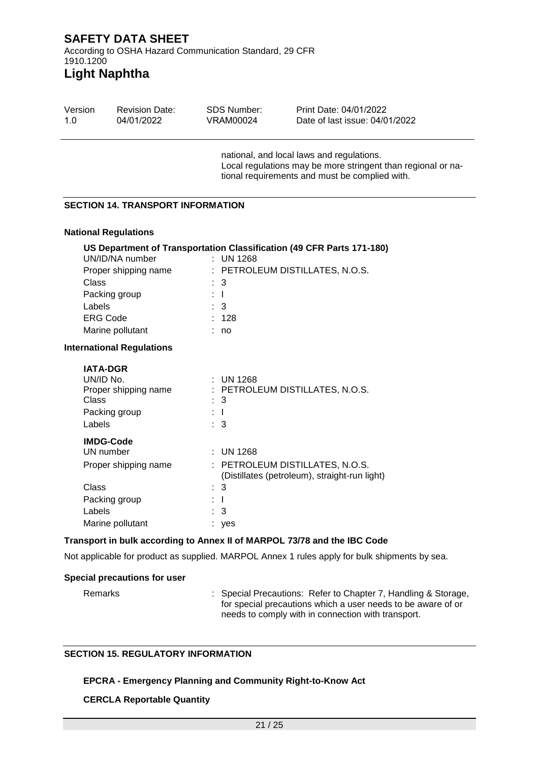# **Light Naphtha**

| Version | <b>Revision Date:</b> | SDS Number: | Print Date: 04/01/2022               |  |
|---------|-----------------------|-------------|--------------------------------------|--|
| 1.0     | 04/01/2022            | VRAM00024   | Date of last issue: 04/01/2022       |  |
|         |                       |             | pational and local laws and required |  |

national, and local laws and regulations. Local regulations may be more stringent than regional or national requirements and must be complied with.

### **SECTION 14. TRANSPORT INFORMATION**

### **National Regulations**

|                                  |     | US Department of Transportation Classification (49 CFR Parts 171-180)          |
|----------------------------------|-----|--------------------------------------------------------------------------------|
| UN/ID/NA number                  |     | $\pm$ UN 1268                                                                  |
| Proper shipping name             |     | : PETROLEUM DISTILLATES, N.O.S.                                                |
| Class                            |     | 3                                                                              |
| Packing group                    | : T |                                                                                |
| Labels                           |     | $\therefore$ 3                                                                 |
| <b>ERG Code</b>                  |     | 128                                                                            |
| Marine pollutant                 |     | no                                                                             |
| <b>International Regulations</b> |     |                                                                                |
| <b>IATA-DGR</b>                  |     |                                                                                |
| UN/ID No.                        |     | : UN 1268                                                                      |
| Proper shipping name             |     | : PETROLEUM DISTILLATES, N.O.S.                                                |
| Class                            |     | 3                                                                              |
| Packing group                    |     | $\mathbf{I}$                                                                   |
| Labels                           |     | $\therefore$ 3                                                                 |
| <b>IMDG-Code</b>                 |     |                                                                                |
| UN number                        |     | <b>UN 1268</b>                                                                 |
| Proper shipping name             |     | PETROLEUM DISTILLATES, N.O.S.<br>(Distillates (petroleum), straight-run light) |
| Class                            | ÷.  | 3                                                                              |
| Packing group                    |     | I                                                                              |
| Labels                           |     | 3                                                                              |

### **Transport in bulk according to Annex II of MARPOL 73/78 and the IBC Code**

Not applicable for product as supplied. MARPOL Annex 1 rules apply for bulk shipments by sea.

#### **Special precautions for user**

Remarks : Special Precautions: Refer to Chapter 7, Handling & Storage, for special precautions which a user needs to be aware of or needs to comply with in connection with transport.

## **SECTION 15. REGULATORY INFORMATION**

Marine pollutant : yes

## **EPCRA - Emergency Planning and Community Right-to-Know Act**

### **CERCLA Reportable Quantity**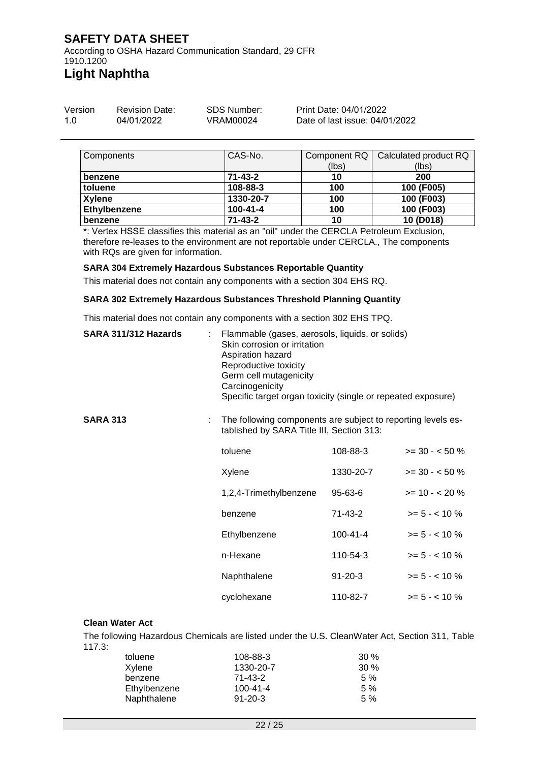According to OSHA Hazard Communication Standard, 29 CFR 1910.1200 **Light Naphtha**

| Version | <b>Revision Date:</b> | SDS Number: | Print Date: 04/01/2022         |
|---------|-----------------------|-------------|--------------------------------|
| 1.0     | 04/01/2022            | VRAM00024   | Date of last issue: 04/01/2022 |

| Components          | CAS-No.        |       | Component RQ   Calculated product RQ |
|---------------------|----------------|-------|--------------------------------------|
|                     |                | (lbs) | (lbs)                                |
| benzene             | $71 - 43 - 2$  | 10    | 200                                  |
| toluene             | 108-88-3       | 100   | 100 (F005)                           |
| <b>Xylene</b>       | 1330-20-7      | 100   | 100 (F003)                           |
| <b>Ethylbenzene</b> | $100 - 41 - 4$ | 100   | 100 (F003)                           |
| benzene             | $71 - 43 - 2$  | 10    | 10 (D018)                            |

\*: Vertex HSSE classifies this material as an "oil" under the CERCLA Petroleum Exclusion, therefore re-leases to the environment are not reportable under CERCLA., The components with RQs are given for information.

#### **SARA 304 Extremely Hazardous Substances Reportable Quantity**

This material does not contain any components with a section 304 EHS RQ.

#### **SARA 302 Extremely Hazardous Substances Threshold Planning Quantity**

This material does not contain any components with a section 302 EHS TPQ.

| SARA 311/312 Hazards |  | Flammable (gases, aerosols, liquids, or solids)<br>Skin corrosion or irritation<br>Aspiration hazard<br>Reproductive toxicity<br>Germ cell mutagenicity<br>Carcinogenicity<br>Specific target organ toxicity (single or repeated exposure) |                                                                                                           |                  |  |
|----------------------|--|--------------------------------------------------------------------------------------------------------------------------------------------------------------------------------------------------------------------------------------------|-----------------------------------------------------------------------------------------------------------|------------------|--|
| <b>SARA 313</b>      |  |                                                                                                                                                                                                                                            | The following components are subject to reporting levels es-<br>tablished by SARA Title III, Section 313: |                  |  |
|                      |  | toluene                                                                                                                                                                                                                                    | 108-88-3                                                                                                  | $>= 30 - 50 \%$  |  |
|                      |  | Xylene                                                                                                                                                                                                                                     | 1330-20-7                                                                                                 | $>= 30 - 50 %$   |  |
|                      |  | 1,2,4-Trimethylbenzene                                                                                                                                                                                                                     | 95-63-6                                                                                                   | $>= 10 - 20%$    |  |
|                      |  | benzene                                                                                                                                                                                                                                    | 71-43-2                                                                                                   | $>= 5 - < 10 \%$ |  |
|                      |  | Ethylbenzene                                                                                                                                                                                                                               | 100-41-4                                                                                                  | $>= 5 - < 10 \%$ |  |
|                      |  | n-Hexane                                                                                                                                                                                                                                   | 110-54-3                                                                                                  | $>= 5 - < 10 \%$ |  |
|                      |  | Naphthalene                                                                                                                                                                                                                                | $91 - 20 - 3$                                                                                             | $>= 5 - < 10 \%$ |  |
|                      |  | cyclohexane                                                                                                                                                                                                                                | 110-82-7                                                                                                  | $>= 5 - < 10 \%$ |  |
|                      |  |                                                                                                                                                                                                                                            |                                                                                                           |                  |  |

#### **Clean Water Act**

The following Hazardous Chemicals are listed under the U.S. CleanWater Act, Section 311, Table 117.3:

| toluene      | 108-88-3       | $30\%$ |
|--------------|----------------|--------|
| Xylene       | 1330-20-7      | $30\%$ |
| benzene      | $71 - 43 - 2$  | 5%     |
| Ethylbenzene | $100 - 41 - 4$ | 5%     |
| Naphthalene  | $91 - 20 - 3$  | 5%     |
|              |                |        |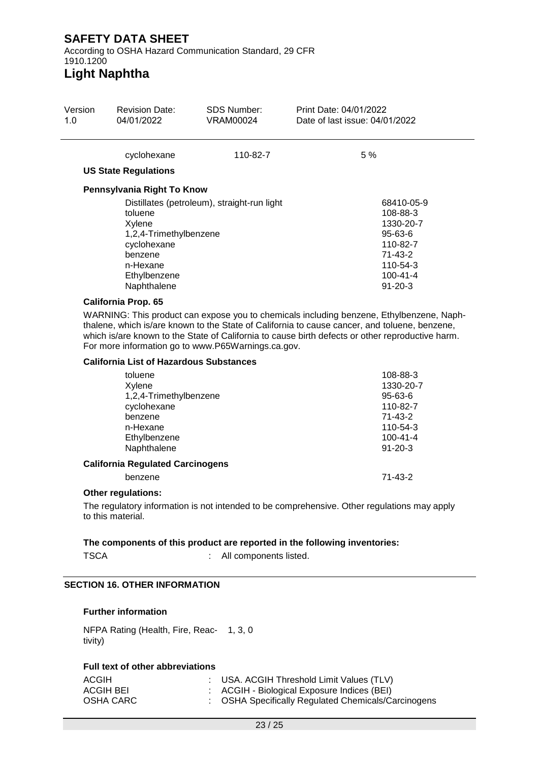According to OSHA Hazard Communication Standard, 29 CFR 1910.1200

# **Light Naphtha**

| 1.0 | <b>Revision Date:</b><br>04/01/2022                                                                                                            | SDS Number:<br><b>VRAM00024</b>                    | Print Date: 04/01/2022<br>Date of last issue: 04/01/2022                                                                                                                                  |
|-----|------------------------------------------------------------------------------------------------------------------------------------------------|----------------------------------------------------|-------------------------------------------------------------------------------------------------------------------------------------------------------------------------------------------|
|     | cyclohexane                                                                                                                                    | 110-82-7                                           | 5 %                                                                                                                                                                                       |
|     | <b>US State Regulations</b>                                                                                                                    |                                                    |                                                                                                                                                                                           |
|     | Pennsylvania Right To Know                                                                                                                     |                                                    |                                                                                                                                                                                           |
|     | toluene<br>Xylene<br>1,2,4-Trimethylbenzene<br>cyclohexane<br>benzene<br>n-Hexane<br>Ethylbenzene<br>Naphthalene<br><b>California Prop. 65</b> | Distillates (petroleum), straight-run light        | 68410-05-9<br>108-88-3<br>1330-20-7<br>95-63-6<br>110-82-7<br>71-43-2<br>110-54-3<br>$100 - 41 - 4$<br>$91 - 20 - 3$                                                                      |
|     |                                                                                                                                                |                                                    | WARNING: This product can expose you to chemicals including benzene, Ethylbenzene, Naph-<br>thalene, which is/are known to the State of California to cause cancer, and toluene, benzene, |
|     |                                                                                                                                                | For more information go to www.P65Warnings.ca.gov. | which is/are known to the State of California to cause birth defects or other reproductive harm.                                                                                          |
|     | <b>California List of Hazardous Substances</b>                                                                                                 |                                                    |                                                                                                                                                                                           |
|     | toluene<br>Xylene<br>1,2,4-Trimethylbenzene<br>cyclohexane<br>benzene<br>n-Hexane<br>Ethylbenzene<br>Naphthalene                               |                                                    | 108-88-3<br>1330-20-7<br>95-63-6<br>110-82-7<br>71-43-2<br>110-54-3<br>$100 - 41 - 4$<br>$91 - 20 - 3$                                                                                    |
|     | <b>California Regulated Carcinogens</b><br>benzene                                                                                             |                                                    | 71-43-2                                                                                                                                                                                   |

### **SECTION 16. OTHER INFORMATION**

### **Further information**

NFPA Rating (Health, Fire, Reac-1, 3, 0 tivity)

### **Full text of other abbreviations**

| ACGIH     | : USA. ACGIH Threshold Limit Values (TLV)           |
|-----------|-----------------------------------------------------|
| ACGIH BEI | ACGIH - Biological Exposure Indices (BEI)           |
| OSHA CARC | : OSHA Specifically Regulated Chemicals/Carcinogens |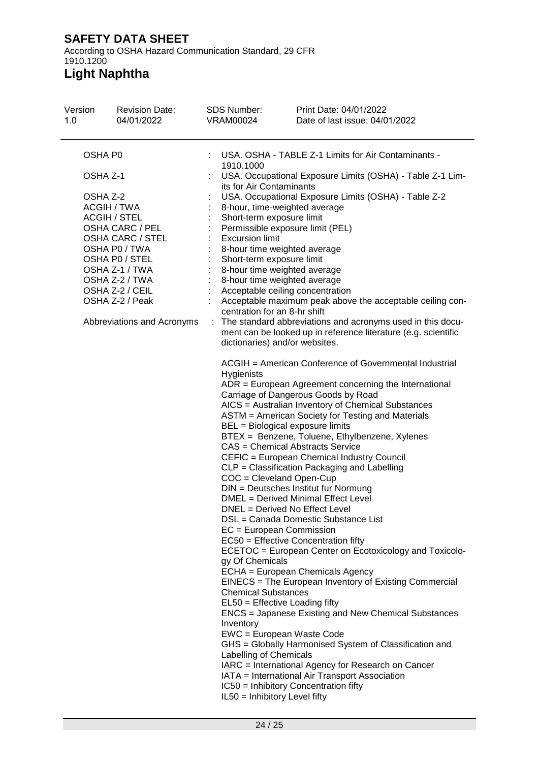According to OSHA Hazard Communication Standard, 29 CFR 1910.1200

| Version<br>1.0 | <b>Revision Date:</b><br>04/01/2022                                                                                                                                                                                  | <b>SDS Number:</b><br><b>VRAM00024</b>                                                                                                                                                                                                                                                                                                                                                                                                                                                                                                                                                                                            | Print Date: 04/01/2022<br>Date of last issue: 04/01/2022                                                                                                                                                                                                                                                                                                                                                                                                                                                                                                                                                                                                                                                                                                                                                                                                                                                                                                                                         |
|----------------|----------------------------------------------------------------------------------------------------------------------------------------------------------------------------------------------------------------------|-----------------------------------------------------------------------------------------------------------------------------------------------------------------------------------------------------------------------------------------------------------------------------------------------------------------------------------------------------------------------------------------------------------------------------------------------------------------------------------------------------------------------------------------------------------------------------------------------------------------------------------|--------------------------------------------------------------------------------------------------------------------------------------------------------------------------------------------------------------------------------------------------------------------------------------------------------------------------------------------------------------------------------------------------------------------------------------------------------------------------------------------------------------------------------------------------------------------------------------------------------------------------------------------------------------------------------------------------------------------------------------------------------------------------------------------------------------------------------------------------------------------------------------------------------------------------------------------------------------------------------------------------|
| OSHA P0        |                                                                                                                                                                                                                      | 1910.1000                                                                                                                                                                                                                                                                                                                                                                                                                                                                                                                                                                                                                         | USA. OSHA - TABLE Z-1 Limits for Air Contaminants -                                                                                                                                                                                                                                                                                                                                                                                                                                                                                                                                                                                                                                                                                                                                                                                                                                                                                                                                              |
| OSHA Z-1       |                                                                                                                                                                                                                      |                                                                                                                                                                                                                                                                                                                                                                                                                                                                                                                                                                                                                                   | USA. Occupational Exposure Limits (OSHA) - Table Z-1 Lim-                                                                                                                                                                                                                                                                                                                                                                                                                                                                                                                                                                                                                                                                                                                                                                                                                                                                                                                                        |
| OSHA Z-2       | ACGIH / TWA<br><b>ACGIH / STEL</b><br>OSHA CARC / PEL<br>OSHA CARC / STEL<br>OSHA P0 / TWA<br>OSHA P0 / STEL<br>OSHA Z-1 / TWA<br>OSHA Z-2 / TWA<br>OSHA Z-2 / CEIL<br>OSHA Z-2 / Peak<br>Abbreviations and Acronyms | its for Air Contaminants<br>8-hour, time-weighted average<br>Short-term exposure limit<br>Permissible exposure limit (PEL)<br><b>Excursion limit</b><br>8-hour time weighted average<br>Short-term exposure limit<br>8-hour time weighted average<br>8-hour time weighted average<br>Acceptable ceiling concentration<br>centration for an 8-hr shift<br>dictionaries) and/or websites.<br>Hygienists<br>BEL = Biological exposure limits<br><b>CAS = Chemical Abstracts Service</b><br>COC = Cleveland Open-Cup<br>DNEL = Derived No Effect Level<br>$EC = European Commission$<br>gy Of Chemicals<br><b>Chemical Substances</b> | USA. Occupational Exposure Limits (OSHA) - Table Z-2<br>Acceptable maximum peak above the acceptable ceiling con-<br>The standard abbreviations and acronyms used in this docu-<br>ment can be looked up in reference literature (e.g. scientific<br>ACGIH = American Conference of Governmental Industrial<br>$ADR = European Agreement concerning the International$<br>Carriage of Dangerous Goods by Road<br>AICS = Australian Inventory of Chemical Substances<br>ASTM = American Society for Testing and Materials<br>BTEX = Benzene, Toluene, Ethylbenzene, Xylenes<br>CEFIC = European Chemical Industry Council<br>CLP = Classification Packaging and Labelling<br>DIN = Deutsches Institut fur Normung<br>DMEL = Derived Minimal Effect Level<br>DSL = Canada Domestic Substance List<br>EC50 = Effective Concentration fifty<br>ECETOC = European Center on Ecotoxicology and Toxicolo-<br>ECHA = European Chemicals Agency<br>EINECS = The European Inventory of Existing Commercial |
|                |                                                                                                                                                                                                                      | EL50 = Effective Loading fifty                                                                                                                                                                                                                                                                                                                                                                                                                                                                                                                                                                                                    | ENCS = Japanese Existing and New Chemical Substances                                                                                                                                                                                                                                                                                                                                                                                                                                                                                                                                                                                                                                                                                                                                                                                                                                                                                                                                             |
|                |                                                                                                                                                                                                                      | Inventory<br>EWC = European Waste Code<br>Labelling of Chemicals                                                                                                                                                                                                                                                                                                                                                                                                                                                                                                                                                                  | GHS = Globally Harmonised System of Classification and                                                                                                                                                                                                                                                                                                                                                                                                                                                                                                                                                                                                                                                                                                                                                                                                                                                                                                                                           |
|                |                                                                                                                                                                                                                      |                                                                                                                                                                                                                                                                                                                                                                                                                                                                                                                                                                                                                                   | IARC = International Agency for Research on Cancer<br>IATA = International Air Transport Association                                                                                                                                                                                                                                                                                                                                                                                                                                                                                                                                                                                                                                                                                                                                                                                                                                                                                             |
|                |                                                                                                                                                                                                                      | IL50 = Inhibitory Level fifty                                                                                                                                                                                                                                                                                                                                                                                                                                                                                                                                                                                                     | IC50 = Inhibitory Concentration fifty                                                                                                                                                                                                                                                                                                                                                                                                                                                                                                                                                                                                                                                                                                                                                                                                                                                                                                                                                            |